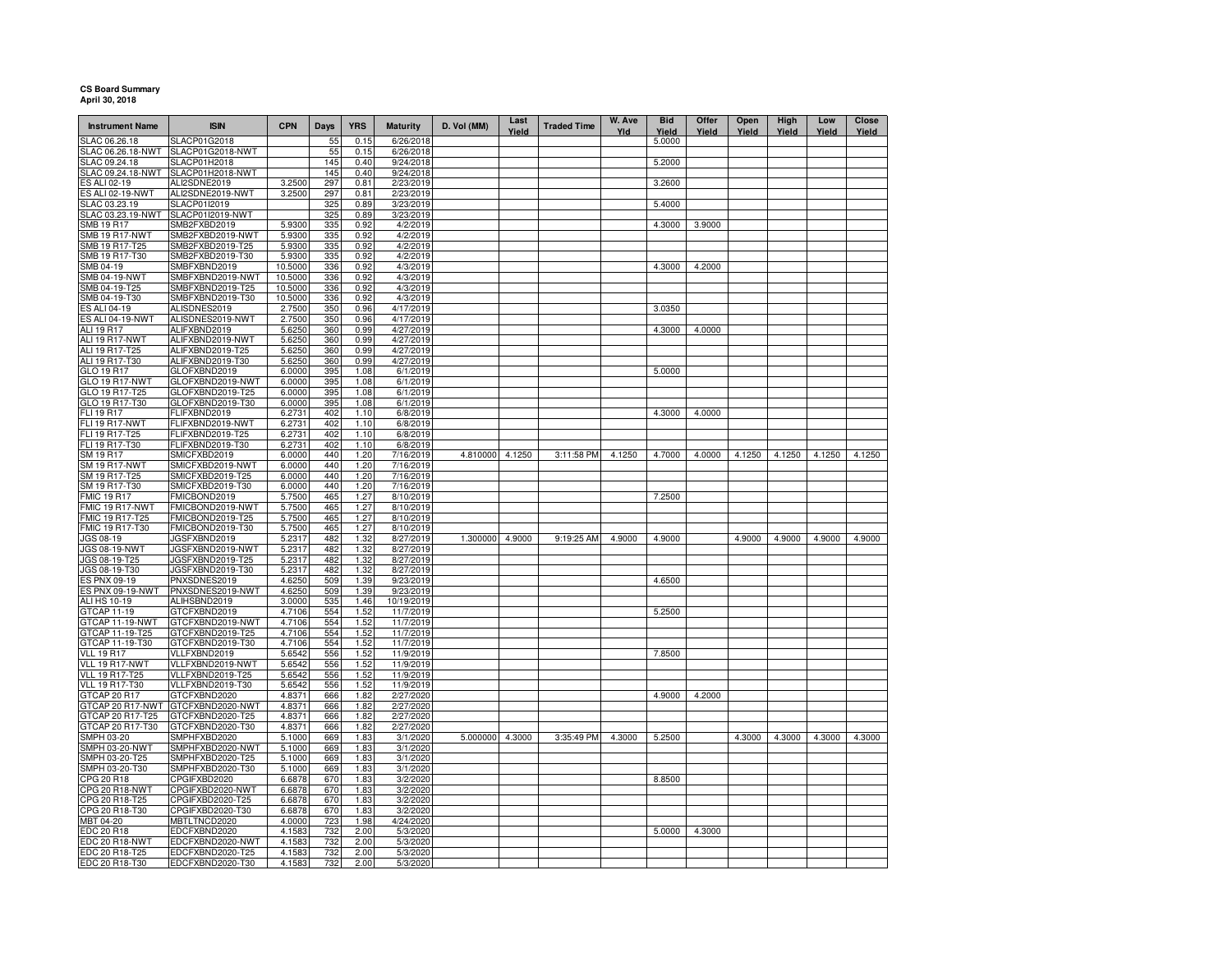## **CS Board Summary April 30, 2018**

| <b>Instrument Name</b>               | <b>ISIN</b>                      | <b>CPN</b>       | <b>Days</b> | <b>YRS</b>   | <b>Maturity</b>        | D. Vol (MM)     | Last<br>Yield | <b>Traded Time</b> | W. Ave<br>Yld | <b>Bid</b><br>Yield | Offer<br>Yield | Open<br>Yield | High<br>Yield | Low<br>Yield | Close<br>Yield |
|--------------------------------------|----------------------------------|------------------|-------------|--------------|------------------------|-----------------|---------------|--------------------|---------------|---------------------|----------------|---------------|---------------|--------------|----------------|
| SLAC 06.26.18                        | SLACP01G2018                     |                  | 55          | 0.15         | 6/26/2018              |                 |               |                    |               | 5.0000              |                |               |               |              |                |
| SLAC 06.26.18-NWT                    | SLACP01G2018-NWT                 |                  | 55          | 0.15         | 6/26/2018              |                 |               |                    |               |                     |                |               |               |              |                |
| SLAC 09.24.18                        | SLACP01H2018                     |                  | 145         | 0.40         | 9/24/2018              |                 |               |                    |               | 5.2000              |                |               |               |              |                |
| SLAC 09.24.18-NWT                    | SLACP01H2018-NWT                 |                  | 145         | 0.40         | 9/24/2018              |                 |               |                    |               |                     |                |               |               |              |                |
| ES ALI 02-19                         | ALI2SDNE2019                     | 3.2500           | 297         | 0.81         | 2/23/2019              |                 |               |                    |               | 3.2600              |                |               |               |              |                |
| ES ALI 02-19-NWT                     | ALI2SDNE2019-NWT                 | 3.2500           | 297         | 0.81         | 2/23/2019              |                 |               |                    |               |                     |                |               |               |              |                |
| SLAC 03.23.19<br>SLAC 03.23.19-NWT   | SLACP01I2019<br>SLACP01I2019-NWT |                  | 325<br>325  | 0.89<br>0.89 | 3/23/2019<br>3/23/2019 |                 |               |                    |               | 5.4000              |                |               |               |              |                |
| <b>SMB 19 R17</b>                    | SMB2FXBD2019                     | 5.9300           | 335         | 0.92         | 4/2/2019               |                 |               |                    |               | 4.3000              | 3.9000         |               |               |              |                |
| <b>SMB 19 R17-NWT</b>                | SMB2FXBD2019-NWT                 | 5.9300           | 335         | 0.92         | 4/2/2019               |                 |               |                    |               |                     |                |               |               |              |                |
| SMB 19 R17-T25                       | SMB2FXBD2019-T25                 | 5.9300           | 335         | 0.92         | 4/2/2019               |                 |               |                    |               |                     |                |               |               |              |                |
| SMB 19 R17-T30                       | SMB2FXBD2019-T30                 | 5.9300           | 335         | 0.92         | 4/2/2019               |                 |               |                    |               |                     |                |               |               |              |                |
| SMB 04-19                            | SMBFXBND2019                     | 10.5000          | 336         | 0.92         | 4/3/2019               |                 |               |                    |               | 4.3000              | 4.2000         |               |               |              |                |
| SMB 04-19-NWT                        | SMBFXBND2019-NWT                 | 10.5000          | 336         | 0.92         | 4/3/2019               |                 |               |                    |               |                     |                |               |               |              |                |
| SMB 04-19-T25                        | SMBFXBND2019-T25                 | 10.5000          | 336         | 0.92         | 4/3/2019               |                 |               |                    |               |                     |                |               |               |              |                |
| SMB 04-19-T30                        | SMBFXBND2019-T30                 | 10.5000          | 336         | 0.92         | 4/3/2019               |                 |               |                    |               |                     |                |               |               |              |                |
| ES ALI 04-19                         | ALISDNES2019                     | 2.7500           | 350         | 0.96         | 4/17/2019              |                 |               |                    |               | 3.0350              |                |               |               |              |                |
| ES ALI 04-19-NWT                     | ALISDNES2019-NWT                 | 2.7500           | 350         | 0.96         | 4/17/2019              |                 |               |                    |               |                     |                |               |               |              |                |
| ALI 19 R17                           | ALIFXBND2019                     | 5.6250           | 360         | 0.99         | 4/27/2019              |                 |               |                    |               | 4.3000              | 4.0000         |               |               |              |                |
| <b>ALI 19 R17-NWT</b>                | ALIFXBND2019-NWT                 | 5.6250           | 360         | 0.99         | 4/27/2019              |                 |               |                    |               |                     |                |               |               |              |                |
| ALI 19 R17-T25                       | ALIFXBND2019-T25                 | 5.6250           | 360         | 0.99         | 4/27/2019              |                 |               |                    |               |                     |                |               |               |              |                |
| ALI 19 R17-T30                       | ALIFXBND2019-T30                 | 5.6250           | 360         | 0.99         | 4/27/2019              |                 |               |                    |               |                     |                |               |               |              |                |
| GLO 19 R17                           | GLOFXBND2019                     | 6.0000           | 395         | 1.08         | 6/1/2019               |                 |               |                    |               | 5.0000              |                |               |               |              |                |
| GLO 19 R17-NWT                       | GLOFXBND2019-NWT                 | 6.0000           | 395         | 1.08         | 6/1/2019               |                 |               |                    |               |                     |                |               |               |              |                |
| GLO 19 R17-T25                       | GLOFXBND2019-T25                 | 6.0000           | 395         | 1.08         | 6/1/2019               |                 |               |                    |               |                     |                |               |               |              |                |
| GLO 19 R17-T30                       | GLOFXBND2019-T30                 | 6.0000           | 395         | 1.08         | 6/1/2019               |                 |               |                    |               |                     |                |               |               |              |                |
| FLI 19 R17                           | FLIFXBND2019                     | 6.2731           | 402         | 1.10         | 6/8/2019               |                 |               |                    |               | 4.3000              | 4.0000         |               |               |              |                |
| <b>FLI 19 R17-NWT</b>                | FLIFXBND2019-NWT                 | 6.2731           | 402         | 1.10         | 6/8/2019               |                 |               |                    |               |                     |                |               |               |              |                |
| FLI 19 R17-T25                       | FLIFXBND2019-T25                 | 6.2731           | 402         | 1.10         | 6/8/2019               |                 |               |                    |               |                     |                |               |               |              |                |
| FLI 19 R17-T30                       | FLIFXBND2019-T30                 | 6.273            | 402         | 1.10         | 6/8/2019               |                 |               |                    |               |                     |                |               |               |              |                |
| SM 19 R17                            | SMICFXBD2019                     | 6.0000           | 440         | 1.20         | 7/16/2019              | 4.810000 4.1250 |               | 3:11:58 PM         | 4.1250        | 4.7000              | 4.0000         | 4.1250        | 4.1250        | 4.1250       | 4.1250         |
| <b>SM 19 R17-NWT</b>                 | SMICFXBD2019-NWT                 | 6.0000           | 440         | 1.20         | 7/16/2019              |                 |               |                    |               |                     |                |               |               |              |                |
| SM 19 R17-T25                        | SMICFXBD2019-T25                 | 6.0000           | 440         | 1.20         | 7/16/2019              |                 |               |                    |               |                     |                |               |               |              |                |
| SM 19 R17-T30                        | SMICFXBD2019-T30                 | 6.0000           | 440         | 1.20         | 7/16/2019              |                 |               |                    |               |                     |                |               |               |              |                |
| <b>FMIC 19 R17</b>                   | FMICBOND2019<br>FMICBOND2019-NWT | 5.7500<br>5.7500 | 465<br>465  | 1.27<br>1.27 | 8/10/2019<br>8/10/2019 |                 |               |                    |               | 7.2500              |                |               |               |              |                |
| FMIC 19 R17-NWT<br>FMIC 19 R17-T25   | FMICBOND2019-T25                 | 5.7500           | 465         | 1.27         | 8/10/2019              |                 |               |                    |               |                     |                |               |               |              |                |
| FMIC 19 R17-T30                      | FMICBOND2019-T30                 | 5.7500           | 465         | 1.27         | 8/10/2019              |                 |               |                    |               |                     |                |               |               |              |                |
| JGS 08-19                            | JGSFXBND2019                     | 5.2317           | 482         | 1.32         | 8/27/2019              | 1.300000 4.9000 |               | 9:19:25 AM         | 4.9000        | 4.9000              |                | 4.9000        | 4.9000        | 4.9000       | 4.9000         |
| JGS 08-19-NWT                        | JGSFXBND2019-NWT                 | 5.2317           | 482         | 1.32         | 8/27/2019              |                 |               |                    |               |                     |                |               |               |              |                |
| JGS 08-19-T25                        | JGSFXBND2019-T25                 | 5.2317           | 482         | 1.32         | 8/27/2019              |                 |               |                    |               |                     |                |               |               |              |                |
| JGS 08-19-T30                        | JGSFXBND2019-T30                 | 5.2317           | 482         | 1.32         | 8/27/2019              |                 |               |                    |               |                     |                |               |               |              |                |
| <b>ES PNX 09-19</b>                  | PNXSDNES2019                     | 4.6250           | 509         | 1.39         | 9/23/2019              |                 |               |                    |               | 4.6500              |                |               |               |              |                |
| ES PNX 09-19-NWT                     | PNXSDNES2019-NWT                 | 4.6250           | 509         | 1.39         | 9/23/2019              |                 |               |                    |               |                     |                |               |               |              |                |
| ALI HS 10-19                         | ALIHSBND2019                     | 3.0000           | 535         | 1.46         | 10/19/2019             |                 |               |                    |               |                     |                |               |               |              |                |
| GTCAP 11-19                          | GTCFXBND2019                     | 4.7106           | 554         | 1.52         | 11/7/2019              |                 |               |                    |               | 5.2500              |                |               |               |              |                |
| GTCAP 11-19-NWT                      | GTCFXBND2019-NWT                 | 4.7106           | 554         | 1.52         | 11/7/2019              |                 |               |                    |               |                     |                |               |               |              |                |
| GTCAP 11-19-T25                      | GTCFXBND2019-T25                 | 4.7106           | 554         | 1.52         | 11/7/2019              |                 |               |                    |               |                     |                |               |               |              |                |
| GTCAP 11-19-T30                      | GTCFXBND2019-T30                 | 4.7106           | 554         | 1.52         | 11/7/2019              |                 |               |                    |               |                     |                |               |               |              |                |
| <b>VLL 19 R17</b>                    | VLLFXBND2019                     | 5.6542           | 556         | 1.52         | 11/9/2019              |                 |               |                    |               | 7.8500              |                |               |               |              |                |
| VLL 19 R17-NWT                       | VLLFXBND2019-NWT                 | 5.6542           | 556         | 1.52         | 11/9/2019              |                 |               |                    |               |                     |                |               |               |              |                |
| <b>VLL 19 R17-T25</b>                | VLLFXBND2019-T25                 | 5.6542           | 556         | 1.52         | 11/9/2019              |                 |               |                    |               |                     |                |               |               |              |                |
| <b>VLL 19 R17-T30</b>                | VLLFXBND2019-T30                 | 5.6542           | 556         | 1.52         | 11/9/2019              |                 |               |                    |               |                     |                |               |               |              |                |
| GTCAP 20 R17                         | GTCFXBND2020<br>GTCFXBND2020-NWT | 4.8371<br>4.8371 | 666<br>666  | 1.82         | 2/27/2020              |                 |               |                    |               | 4.9000              | 4.2000         |               |               |              |                |
| GTCAP 20 R17-NWT<br>GTCAP 20 R17-T25 | GTCFXBND2020-T25                 | 4.8371           |             | 1.82<br>1.82 | 2/27/2020<br>2/27/2020 |                 |               |                    |               |                     |                |               |               |              |                |
| GTCAP 20 R17-T30                     | GTCFXBND2020-T30                 | 4.8371           | 666         |              | 2/27/2020              |                 |               |                    |               |                     |                |               |               |              |                |
| SMPH 03-20                           | SMPHFXBD2020                     | 5.1000           | 666<br>669  | 1.82<br>1.83 | 3/1/2020               | 5.000000 4.3000 |               | 3:35:49 PM         | 4.3000        | 5.2500              |                | 4.3000        | 4.3000        | 4.3000       | 4.3000         |
| SMPH 03-20-NWT                       | SMPHFXBD2020-NWT                 | 5.1000           | 669         | 1.83         | 3/1/2020               |                 |               |                    |               |                     |                |               |               |              |                |
| SMPH 03-20-T25                       | SMPHFXBD2020-T25                 | 5.1000           | 669         | 1.83         | 3/1/2020               |                 |               |                    |               |                     |                |               |               |              |                |
| SMPH 03-20-T30                       | SMPHFXBD2020-T30                 | 5.1000           | 669         | 1.83         | 3/1/2020               |                 |               |                    |               |                     |                |               |               |              |                |
| CPG 20 R18                           | CPGIFXBD2020                     | 6.6878           | 670         | 1.83         | 3/2/2020               |                 |               |                    |               | 8.8500              |                |               |               |              |                |
| CPG 20 R18-NWT                       | CPGIFXBD2020-NWT                 | 6.6878           | 670         | 1.83         | 3/2/2020               |                 |               |                    |               |                     |                |               |               |              |                |
| CPG 20 R18-T25                       | CPGIFXBD2020-T25                 | 6.6878           | 670         | 1.83         | 3/2/2020               |                 |               |                    |               |                     |                |               |               |              |                |
| CPG 20 R18-T30                       | CPGIFXBD2020-T30                 | 6.6878           | 670         | 1.83         | 3/2/2020               |                 |               |                    |               |                     |                |               |               |              |                |
| MBT 04-20                            | MBTLTNCD2020                     | 4.0000           | 723         | 1.98         | 4/24/2020              |                 |               |                    |               |                     |                |               |               |              |                |
| EDC 20 R18                           | EDCFXBND2020                     | 4.1583           | 732         | 2.00         | 5/3/2020               |                 |               |                    |               | 5.0000              | 4.3000         |               |               |              |                |
| <b>EDC 20 R18-NWT</b>                | EDCFXBND2020-NWT                 | 4.1583           | 732         | 2.00         | 5/3/2020               |                 |               |                    |               |                     |                |               |               |              |                |
| EDC 20 R18-T25                       | EDCFXBND2020-T25                 | 4.1583           | 732         | 2.00         | 5/3/2020               |                 |               |                    |               |                     |                |               |               |              |                |
| EDC 20 R18-T30                       | EDCFXBND2020-T30                 | 4.1583           | 732         | 2.00         | 5/3/2020               |                 |               |                    |               |                     |                |               |               |              |                |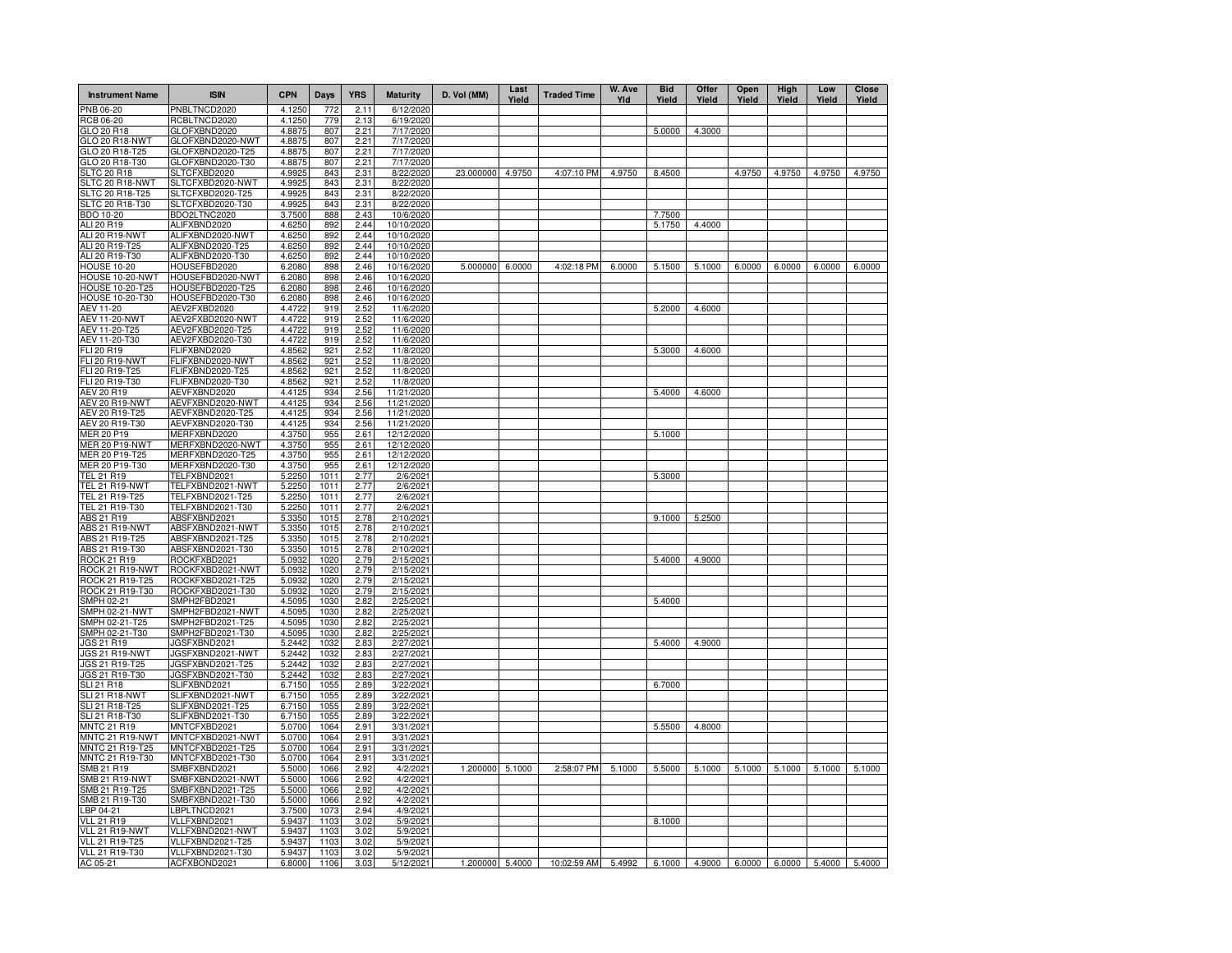| <b>Instrument Name</b>                    | <b>ISIN</b>                          | <b>CPN</b>       | Days         | <b>YRS</b>   | <b>Maturity</b>          | D. Vol (MM)     | Last<br>Yield | <b>Traded Time</b> | W. Ave<br>Yld | <b>Bid</b><br>Yield | Offer<br>Yield | Open<br>Yield | High<br>Yield | Low<br>Yield | Close<br>Yield |
|-------------------------------------------|--------------------------------------|------------------|--------------|--------------|--------------------------|-----------------|---------------|--------------------|---------------|---------------------|----------------|---------------|---------------|--------------|----------------|
| PNB 06-20                                 | PNBLTNCD2020                         | 4.1250           | 772          | 2.11         | 6/12/2020                |                 |               |                    |               |                     |                |               |               |              |                |
| RCB 06-20                                 | RCBLTNCD2020                         | 4.1250           | 779          | 2.13         | 6/19/2020                |                 |               |                    |               |                     |                |               |               |              |                |
| GLO 20 R18                                | GLOFXBND2020                         | 4.8875           | 807          | 2.21         | 7/17/2020                |                 |               |                    |               | 5.0000              | 4.3000         |               |               |              |                |
| GLO 20 R18-NWT                            | GLOFXBND2020-NWT                     | 4.8875<br>4.8875 | 807<br>807   | 2.21         | 7/17/2020<br>7/17/2020   |                 |               |                    |               |                     |                |               |               |              |                |
| GLO 20 R18-T25<br>GLO 20 R18-T30          | GLOFXBND2020-T25<br>GLOFXBND2020-T30 | 4.8875           | 807          | 2.21<br>2.21 | 7/17/2020                |                 |               |                    |               |                     |                |               |               |              |                |
| <b>SLTC 20 R18</b>                        | SLTCFXBD2020                         | 4.9925           | 843          | 2.31         | 8/22/2020                | 23.000000       | 4.9750        | 4:07:10 PM         | 4.9750        | 8.4500              |                | 4.9750        | 4.9750        | 4.9750       | 4.9750         |
| SLTC 20 R18-NWT                           | SLTCFXBD2020-NWT                     | 4.9925           | 843          | 2.31         | 8/22/2020                |                 |               |                    |               |                     |                |               |               |              |                |
| SLTC 20 R18-T25                           | SLTCFXBD2020-T25                     | 4.9925           | 843          | 2.31         | 8/22/2020                |                 |               |                    |               |                     |                |               |               |              |                |
| SLTC 20 R18-T30                           | SLTCFXBD2020-T30                     | 4.9925           | 843          | 2.31         | 8/22/2020                |                 |               |                    |               |                     |                |               |               |              |                |
| <b>BDO 10-20</b>                          | BDO2LTNC2020                         | 3.7500           | 888          | 2.43         | 10/6/2020                |                 |               |                    |               | 7.7500              |                |               |               |              |                |
| ALI 20 R19                                | ALIFXBND2020                         | 4.6250           | 892          | 2.44         | 10/10/2020               |                 |               |                    |               | 5.1750              | 4.4000         |               |               |              |                |
| ALI 20 R19-NWT                            | ALIFXBND2020-NWT                     | 4.6250           | 892          | 2.44         | 10/10/2020               |                 |               |                    |               |                     |                |               |               |              |                |
| ALI 20 R19-T25<br>ALI 20 R19-T30          | ALIFXBND2020-T25<br>ALIFXBND2020-T30 | 4.6250<br>4.6250 | 892<br>892   | 2.44<br>2.44 | 10/10/2020<br>10/10/2020 |                 |               |                    |               |                     |                |               |               |              |                |
| <b>HOUSE 10-20</b>                        | HOUSEFBD2020                         | 6.2080           | 898          | 2.46         | 10/16/2020               | 5.000000        | 6.0000        | 4:02:18 PM         | 6.0000        | 5.1500              | 5.1000         | 6.0000        | 6.0000        | 6.0000       | 6.0000         |
| HOUSE 10-20-NWT                           | HOUSEFBD2020-NWT                     | 6.2080           | 898          | 2.46         | 10/16/2020               |                 |               |                    |               |                     |                |               |               |              |                |
| <b>HOUSE 10-20-T25</b>                    | HOUSEFBD2020-T25                     | 6.2080           | 898          | 2.46         | 10/16/2020               |                 |               |                    |               |                     |                |               |               |              |                |
| HOUSE 10-20-T30                           | HOUSEFBD2020-T30                     | 6.2080           | 898          | 2.46         | 10/16/2020               |                 |               |                    |               |                     |                |               |               |              |                |
| AEV 11-20                                 | AEV2FXBD2020                         | 4.4722           | 919          | 2.52         | 11/6/2020                |                 |               |                    |               | 5.2000              | 4.6000         |               |               |              |                |
| <b>AEV 11-20-NWT</b>                      | AEV2FXBD2020-NWT                     | 4.4722           | 919          | 2.52         | 11/6/2020                |                 |               |                    |               |                     |                |               |               |              |                |
| AEV 11-20-T25                             | AEV2FXBD2020-T25                     | 4.4722           | 919          | 2.52         | 11/6/2020                |                 |               |                    |               |                     |                |               |               |              |                |
| AEV 11-20-T30                             | AEV2FXBD2020-T30                     | 4.4722           | 919          | 2.52         | 11/6/2020                |                 |               |                    |               |                     |                |               |               |              |                |
| FLI 20 R19                                | FLIFXBND2020                         | 4.8562           | 921          | 2.52         | 11/8/2020                |                 |               |                    |               | 5.3000              | 4.6000         |               |               |              |                |
| FLI 20 R19-NWT                            | FLIFXBND2020-NWT                     | 4.8562           | 921          | 2.52         | 11/8/2020                |                 |               |                    |               |                     |                |               |               |              |                |
| FLI 20 R19-T25<br>FLI 20 R19-T30          | FLIFXBND2020-T25<br>FLIFXBND2020-T30 | 4.8562<br>4.8562 | 921<br>921   | 2.52<br>2.52 | 11/8/2020<br>11/8/2020   |                 |               |                    |               |                     |                |               |               |              |                |
| AEV 20 R19                                | AEVFXBND2020                         | 4.4125           | 934          | 2.56         | 11/21/2020               |                 |               |                    |               | 5.4000              | 4.6000         |               |               |              |                |
| <b>AEV 20 R19-NWT</b>                     | AEVFXBND2020-NWT                     | 4.4125           | 934          | 2.56         | 11/21/2020               |                 |               |                    |               |                     |                |               |               |              |                |
| AEV 20 R19-T25                            | AEVFXBND2020-T25                     | 4.4125           | 934          | 2.56         | 11/21/2020               |                 |               |                    |               |                     |                |               |               |              |                |
| AEV 20 R19-T30                            | AEVFXBND2020-T30                     | 4.4125           | 934          | 2.56         | 11/21/2020               |                 |               |                    |               |                     |                |               |               |              |                |
| MER 20 P19                                | MERFXBND2020                         | 4.3750           | 955          | 2.61         | 12/12/2020               |                 |               |                    |               | 5.1000              |                |               |               |              |                |
| <b>MER 20 P19-NWT</b>                     | MERFXBND2020-NWT                     | 4.3750           | 955          | 2.61         | 12/12/2020               |                 |               |                    |               |                     |                |               |               |              |                |
| MER 20 P19-T25                            | MERFXBND2020-T25                     | 4.3750           | 955          | 2.61         | 12/12/2020               |                 |               |                    |               |                     |                |               |               |              |                |
| MER 20 P19-T30                            | MERFXBND2020-T30                     | 4.3750           | 955          | 2.61         | 12/12/2020               |                 |               |                    |               |                     |                |               |               |              |                |
| TEL 21 R19                                | TELFXBND2021                         | 5.2250           | 1011         | 2.77         | 2/6/2021                 |                 |               |                    |               | 5.3000              |                |               |               |              |                |
| TEL 21 R19-NWT                            | TELFXBND2021-NWT                     | 5.2250           | 1011         | 2.77         | 2/6/2021                 |                 |               |                    |               |                     |                |               |               |              |                |
| TEL 21 R19-T25<br>TEL 21 R19-T30          | TELFXBND2021-T25<br>TELFXBND2021-T30 | 5.2250<br>5.2250 | 1011<br>1011 | 2.77         | 2/6/2021<br>2/6/2021     |                 |               |                    |               |                     |                |               |               |              |                |
| ABS 21 R19                                | ABSFXBND2021                         | 5.3350           | 1015         | 2.77<br>2.78 | 2/10/2021                |                 |               |                    |               | 9.1000              | 5.2500         |               |               |              |                |
| ABS 21 R19-NWT                            | ABSFXBND2021-NWT                     | 5.3350           | 1015         | 2.78         | 2/10/2021                |                 |               |                    |               |                     |                |               |               |              |                |
| ABS 21 R19-T25                            | ABSFXBND2021-T25                     | 5.3350           | 1015         | 2.78         | 2/10/2021                |                 |               |                    |               |                     |                |               |               |              |                |
| ABS 21 R19-T30                            | ABSFXBND2021-T30                     | 5.3350           | 1015         | 2.78         | 2/10/2021                |                 |               |                    |               |                     |                |               |               |              |                |
| ROCK 21 R19                               | ROCKFXBD2021                         | 5.0932           | 1020         | 2.79         | 2/15/2021                |                 |               |                    |               | 5.4000              | 4.9000         |               |               |              |                |
| ROCK 21 R19-NWT                           | ROCKFXBD2021-NWT                     | 5.0932           | 1020         | 2.79         | 2/15/2021                |                 |               |                    |               |                     |                |               |               |              |                |
| ROCK 21 R19-T25                           | ROCKFXBD2021-T25                     | 5.0932           | 1020         | 2.79         | 2/15/2021                |                 |               |                    |               |                     |                |               |               |              |                |
| ROCK 21 R19-T30                           | ROCKFXBD2021-T30                     | 5.0932           | 1020         | 2.79         | 2/15/2021                |                 |               |                    |               |                     |                |               |               |              |                |
| SMPH 02-21                                | SMPH2FBD2021                         | 4.5095           | 1030         | 2.82         | 2/25/2021                |                 |               |                    |               | 5.4000              |                |               |               |              |                |
| SMPH 02-21-NWT                            | SMPH2FBD2021-NWT                     | 4.5095           | 1030<br>1030 | 2.82         | 2/25/2021                |                 |               |                    |               |                     |                |               |               |              |                |
| SMPH 02-21-T25<br>SMPH 02-21-T30          | SMPH2FBD2021-T25<br>SMPH2FBD2021-T30 | 4.5095<br>4.5095 | 1030         | 2.82<br>2.82 | 2/25/2021<br>2/25/2021   |                 |               |                    |               |                     |                |               |               |              |                |
| JGS 21 R19                                | JGSFXBND2021                         | 5.2442           | 1032         | 2.83         | 2/27/2021                |                 |               |                    |               | 5.4000              | 4.9000         |               |               |              |                |
| JGS 21 R19-NWT                            | JGSFXBND2021-NWT                     | 5.2442           | 1032         | 2.83         | 2/27/2021                |                 |               |                    |               |                     |                |               |               |              |                |
| JGS 21 R19-T25                            | JGSFXBND2021-T25                     | 5.2442           | 1032         | 2.83         | 2/27/2021                |                 |               |                    |               |                     |                |               |               |              |                |
| JGS 21 R19-T30                            | JGSFXBND2021-T30                     | 5.2442           | 1032         | 2.83         | 2/27/2021                |                 |               |                    |               |                     |                |               |               |              |                |
| <b>SLI 21 R18</b>                         | SLIFXBND2021                         | 6.7150           | 1055         | 2.89         | 3/22/2021                |                 |               |                    |               | 6.7000              |                |               |               |              |                |
| SLI 21 R18-NWT                            | SLIFXBND2021-NWT                     | 6.7150           | 105          | 2.89         | 3/22/202                 |                 |               |                    |               |                     |                |               |               |              |                |
| SLI 21 R18-T25                            | SLIFXBND2021-T25                     | 6.7150           | 1055         | 2.89         | 3/22/2021                |                 |               |                    |               |                     |                |               |               |              |                |
| SLI 21 R18-T30                            | SLIFXBND2021-T30                     | 6.7150           | 1055         | 2.89         | 3/22/2021                |                 |               |                    |               |                     |                |               |               |              |                |
| <b>MNTC 21 R19</b>                        | MNTCFXBD2021                         | 5.0700           | 1064         | 2.91         | 3/31/2021                |                 |               |                    |               | 5.5500              | 4.8000         |               |               |              |                |
| <b>MNTC 21 R19-NWT</b><br>MNTC 21 R19-T25 | MNTCFXBD2021-NWT<br>MNTCFXBD2021-T25 | 5.0700<br>5.0700 | 1064<br>1064 | 2.91<br>2.91 | 3/31/202<br>3/31/2021    |                 |               |                    |               |                     |                |               |               |              |                |
| MNTC 21 R19-T30                           | MNTCFXBD2021-T30                     | 5.0700           | 1064         | 2.91         | 3/31/202                 |                 |               |                    |               |                     |                |               |               |              |                |
| SMB 21 R19                                | SMBFXBND2021                         | 5.5000           | 1066         | 2.92         | 4/2/2021                 | 1.200000        | 5.1000        | 2:58:07 PM         | 5.1000        | 5.5000              | 5.1000         | 5.1000        | 5.1000        | 5.1000       | 5.1000         |
| SMB 21 R19-NWT                            | SMBFXBND2021-NWT                     | 5.5000           | 1066         | 2.92         | 4/2/2021                 |                 |               |                    |               |                     |                |               |               |              |                |
| SMB 21 R19-T25                            | SMBFXBND2021-T25                     | 5.5000           | 1066         | 2.92         | 4/2/2021                 |                 |               |                    |               |                     |                |               |               |              |                |
| SMB 21 R19-T30                            | SMBFXBND2021-T30                     | 5.5000           | 1066         | 2.92         | 4/2/202                  |                 |               |                    |               |                     |                |               |               |              |                |
| LBP 04-21                                 | LBPLTNCD2021                         | 3.7500           | 1073         | 2.94         | 4/9/2021                 |                 |               |                    |               |                     |                |               |               |              |                |
| <b>VLL 21 R19</b>                         | VLLFXBND2021                         | 5.9437           | 1103         | 3.02         | 5/9/2021                 |                 |               |                    |               | 8.1000              |                |               |               |              |                |
| VLL 21 R19-NWT                            | VLLFXBND2021-NWT                     | 5.9437           | 1103         | 3.02         | 5/9/2021                 |                 |               |                    |               |                     |                |               |               |              |                |
| <b>VLL 21 R19-T25</b>                     | VLLFXBND2021-T25                     | 5.9437           | 1103         | 3.02         | 5/9/2021                 |                 |               |                    |               |                     |                |               |               |              |                |
| VLL 21 R19-T30                            | VLLFXBND2021-T30                     | 5.9437           | 1103         | 3.02         | 5/9/2021                 |                 |               |                    |               |                     |                |               |               |              |                |
| AC 05-21                                  | ACFXBOND2021                         | 6.8000           | 1106         | 3.03         | 5/12/2021                | 1.200000 5.4000 |               | 10:02:59 AM        | 5.4992        | 6.1000              | 4.9000         | 6.0000        | 6.0000        | 5.4000       | 5.4000         |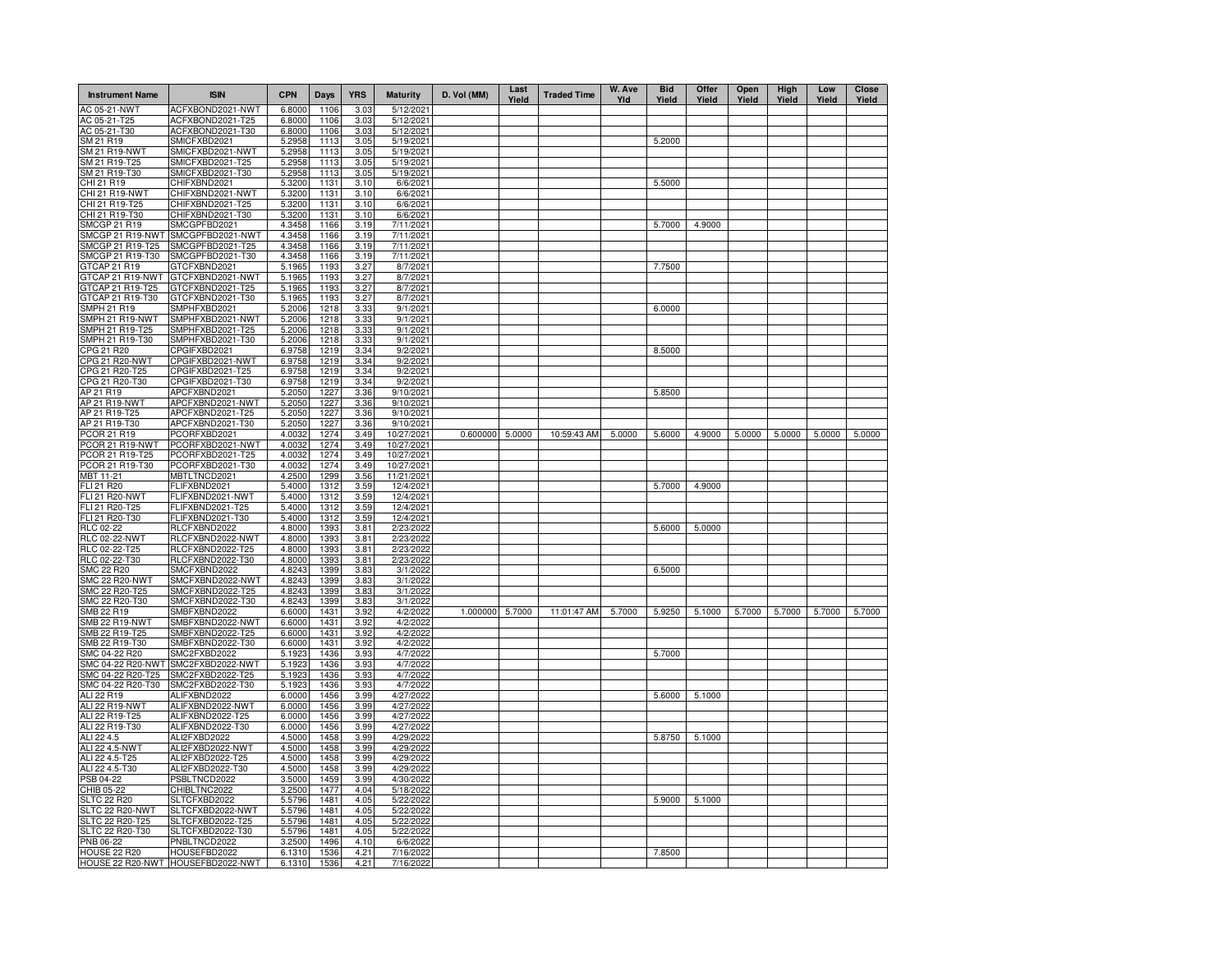| <b>Instrument Name</b>                | <b>ISIN</b>                          | <b>CPN</b>       | Days         | <b>YRS</b>   | <b>Maturity</b>          | D. Vol (MM) | Last<br>Yield | <b>Traded Time</b> | W. Ave<br>YId | <b>Bid</b><br>Yield | Offer<br>Yield | Open<br>Yield | High<br>Yield | Low<br>Yield | Close<br>Yield |
|---------------------------------------|--------------------------------------|------------------|--------------|--------------|--------------------------|-------------|---------------|--------------------|---------------|---------------------|----------------|---------------|---------------|--------------|----------------|
| AC 05-21-NWT                          | ACFXBOND2021-NWT                     | 6.8000           | 1106         | 3.03         | 5/12/2021                |             |               |                    |               |                     |                |               |               |              |                |
| AC 05-21-T25                          | ACFXBOND2021-T25                     | 6.8000           | 1106         | 3.03         | 5/12/2021                |             |               |                    |               |                     |                |               |               |              |                |
| AC 05-21-T30                          | ACFXBOND2021-T30                     | 6.8000           | 1106         | 3.03         | 5/12/2021                |             |               |                    |               |                     |                |               |               |              |                |
| SM 21 R19                             | SMICFXBD2021                         | 5.2958           | 1113<br>1113 | 3.05         | 5/19/2021                |             |               |                    |               | 5.2000              |                |               |               |              |                |
| <b>SM 21 R19-NWT</b><br>SM 21 R19-T25 | SMICFXBD2021-NWT<br>SMICFXBD2021-T25 | 5.2958<br>5.2958 | 1113         | 3.05<br>3.05 | 5/19/2021<br>5/19/2021   |             |               |                    |               |                     |                |               |               |              |                |
| SM 21 R19-T30                         | SMICFXBD2021-T30                     | 5.2958           | 1113         | 3.05         | 5/19/2021                |             |               |                    |               |                     |                |               |               |              |                |
| CHI 21 R19                            | CHIFXBND2021                         | 5.3200           | 1131         | 3.10         | 6/6/2021                 |             |               |                    |               | 5.5000              |                |               |               |              |                |
| CHI 21 R19-NWT                        | CHIFXBND2021-NWT                     | 5.3200           | 1131         | 3.10         | 6/6/2021                 |             |               |                    |               |                     |                |               |               |              |                |
| CHI 21 R19-T25                        | CHIFXBND2021-T25                     | 5.3200           | 1131         | 3.10         | 6/6/2021                 |             |               |                    |               |                     |                |               |               |              |                |
| CHI 21 R19-T30                        | CHIFXBND2021-T30                     | 5.3200           | 1131         | 3.10         | 6/6/2021                 |             |               |                    |               |                     |                |               |               |              |                |
| <b>SMCGP 21 R19</b>                   | SMCGPFBD2021                         | 4.3458           | 1166         | 3.19         | 7/11/2021                |             |               |                    |               | 5.7000              | 4.9000         |               |               |              |                |
| SMCGP 21 R19-NWT                      | SMCGPFBD2021-NWT                     | 4.3458           | 1166         | 3.19         | 7/11/2021                |             |               |                    |               |                     |                |               |               |              |                |
| SMCGP 21 R19-T25                      | SMCGPFBD2021-T25                     | 4.3458           | 1166         | 3.19         | 7/11/2021                |             |               |                    |               |                     |                |               |               |              |                |
| SMCGP 21 R19-T30                      | SMCGPFBD2021-T30                     | 4.3458           | 1166         | 3.19         | 7/11/2021                |             |               |                    |               |                     |                |               |               |              |                |
| GTCAP 21 R19                          | GTCFXBND2021                         | 5.1965           | 1193         | 3.27         | 8/7/2021                 |             |               |                    |               | 7.7500              |                |               |               |              |                |
| GTCAP 21 R19-NWT                      | GTCFXBND2021-NWT                     | 5.1965           | 1193         | 3.27         | 8/7/2021                 |             |               |                    |               |                     |                |               |               |              |                |
| GTCAP 21 R19-T25<br>GTCAP 21 R19-T30  | GTCFXBND2021-T25<br>GTCFXBND2021-T30 | 5.1965<br>5.1965 | 1193<br>1193 | 3.27<br>3.27 | 8/7/2021<br>8/7/2021     |             |               |                    |               |                     |                |               |               |              |                |
| SMPH 21 R19                           | SMPHFXBD2021                         | 5.2006           | 1218         | 3.33         | 9/1/2021                 |             |               |                    |               | 6.0000              |                |               |               |              |                |
| SMPH 21 R19-NWT                       | SMPHFXBD2021-NWT                     | 5.2006           | 1218         | 3.33         | 9/1/2021                 |             |               |                    |               |                     |                |               |               |              |                |
| SMPH 21 R19-T25                       | SMPHFXBD2021-T25                     | 5.2006           | 1218         | 3.33         | 9/1/2021                 |             |               |                    |               |                     |                |               |               |              |                |
| SMPH 21 R19-T30                       | SMPHFXBD2021-T30                     | 5.2006           | 1218         | 3.33         | 9/1/2021                 |             |               |                    |               |                     |                |               |               |              |                |
| CPG 21 R20                            | CPGIFXBD2021                         | 6.9758           | 1219         | 3.34         | 9/2/2021                 |             |               |                    |               | 8.5000              |                |               |               |              |                |
| CPG 21 R20-NWT                        | CPGIFXBD2021-NWT                     | 6.9758           | 1219         | 3.34         | 9/2/2021                 |             |               |                    |               |                     |                |               |               |              |                |
| CPG 21 R20-T25                        | CPGIFXBD2021-T25                     | 6.9758           | 1219         | 3.34         | 9/2/2021                 |             |               |                    |               |                     |                |               |               |              |                |
| CPG 21 R20-T30                        | CPGIFXBD2021-T30                     | 6.9758           | 1219         | 3.34         | 9/2/2021                 |             |               |                    |               |                     |                |               |               |              |                |
| AP 21 R19                             | APCFXBND2021                         | 5.2050           | 1227         | 3.36         | 9/10/2021                |             |               |                    |               | 5.8500              |                |               |               |              |                |
| AP 21 R19-NWT                         | APCFXBND2021-NWT                     | 5.2050           | 1227         | 3.36         | 9/10/2021                |             |               |                    |               |                     |                |               |               |              |                |
| AP 21 R19-T25                         | APCFXBND2021-T25                     | 5.2050           | 1227         | 3.36         | 9/10/2021                |             |               |                    |               |                     |                |               |               |              |                |
| AP 21 R19-T30                         | APCFXBND2021-T30                     | 5.2050           | 1227         | 3.36         | 9/10/202                 |             |               |                    |               |                     |                |               |               |              |                |
| PCOR 21 R19                           | PCORFXBD2021                         | 4.0032           | 1274         | 3.49         | 10/27/2021               | 0.600000    | 5.0000        | 10:59:43 AM        | 5.0000        | 5.6000              | 4.9000         | 5.0000        | 5.0000        | 5.0000       | 5.0000         |
| PCOR 21 R19-NWT                       | PCORFXBD2021-NWT                     | 4.0032           | 1274         | 3.49         | 10/27/2021               |             |               |                    |               |                     |                |               |               |              |                |
| PCOR 21 R19-T25<br>PCOR 21 R19-T30    | PCORFXBD2021-T25                     | 4.0032<br>4.0032 | 1274<br>1274 | 3.49<br>3.49 | 10/27/2021               |             |               |                    |               |                     |                |               |               |              |                |
| MBT 11-21                             | PCORFXBD2021-T30<br>MBTLTNCD2021     | 4.2500           | 1299         | 3.56         | 10/27/2021<br>11/21/2021 |             |               |                    |               |                     |                |               |               |              |                |
| FLI 21 R20                            | FLIFXBND2021                         | 5.4000           | 1312         | 3.59         | 12/4/2021                |             |               |                    |               | 5.7000              | 4.9000         |               |               |              |                |
| <b>FLI 21 R20-NWT</b>                 | FLIFXBND2021-NWT                     | 5.4000           | 1312         | 3.59         | 12/4/2021                |             |               |                    |               |                     |                |               |               |              |                |
| FLI 21 R20-T25                        | FLIFXBND2021-T25                     | 5.4000           | 1312         | 3.59         | 12/4/2021                |             |               |                    |               |                     |                |               |               |              |                |
| FLI 21 R20-T30                        | FLIFXBND2021-T30                     | 5.4000           | 1312         | 3.59         | 12/4/2021                |             |               |                    |               |                     |                |               |               |              |                |
| <b>RLC 02-22</b>                      | RLCFXBND2022                         | 4.8000           | 1393         | 3.81         | 2/23/2022                |             |               |                    |               | 5.6000              | 5.0000         |               |               |              |                |
| <b>RLC 02-22-NWT</b>                  | RLCFXBND2022-NWT                     | 4.8000           | 1393         | 3.81         | 2/23/2022                |             |               |                    |               |                     |                |               |               |              |                |
| RLC 02-22-T25                         | RLCFXBND2022-T25                     | 4.8000           | 1393         | 3.81         | 2/23/2022                |             |               |                    |               |                     |                |               |               |              |                |
| RLC 02-22-T30                         | RLCFXBND2022-T30                     | 4.8000           | 1393         | 3.81         | 2/23/2022                |             |               |                    |               |                     |                |               |               |              |                |
| <b>SMC 22 R20</b>                     | SMCFXBND2022                         | 4.8243           | 1399         | 3.83         | 3/1/2022                 |             |               |                    |               | 6.5000              |                |               |               |              |                |
| <b>SMC 22 R20-NWT</b>                 | SMCFXBND2022-NWT                     | 4.8243           | 1399         | 3.83         | 3/1/2022                 |             |               |                    |               |                     |                |               |               |              |                |
| SMC 22 R20-T25                        | SMCFXBND2022-T25                     | 4.8243           | 1399         | 3.83         | 3/1/2022                 |             |               |                    |               |                     |                |               |               |              |                |
| SMC 22 R20-T30<br>SMB 22 R19          | SMCFXBND2022-T30<br>SMBFXBND2022     | 4.8243<br>6.6000 | 1399<br>1431 | 3.83<br>3.92 | 3/1/2022<br>4/2/2022     | 1.000000    | 5.7000        | 11:01:47 AM        |               | 5.9250              | 5.1000         |               | 5.7000        | 5.7000       | 5.7000         |
| <b>SMB 22 R19-NWT</b>                 | SMBFXBND2022-NWT                     | 6.6000           | 1431         | 3.92         | 4/2/2022                 |             |               |                    | 5.7000        |                     |                | 5.7000        |               |              |                |
| SMB 22 R19-T25                        | SMBFXBND2022-T25                     | 6.6000           | 1431         | 3.92         | 4/2/2022                 |             |               |                    |               |                     |                |               |               |              |                |
| SMB 22 R19-T30                        | SMBFXBND2022-T30                     | 6.6000           | 1431         | 3.92         | 4/2/2022                 |             |               |                    |               |                     |                |               |               |              |                |
| SMC 04-22 R20                         | SMC2FXBD2022                         | 5.1923           | 1436         | 3.93         | 4/7/2022                 |             |               |                    |               | 5.7000              |                |               |               |              |                |
| SMC 04-22 R20-NWT                     | SMC2FXBD2022-NWT                     | 5.1923           | 1436         | 3.93         | 4/7/2022                 |             |               |                    |               |                     |                |               |               |              |                |
| SMC 04-22 R20-T25                     | SMC2FXBD2022-T25                     | 5.1923           | 1436         | 3.93         | 4/7/2022                 |             |               |                    |               |                     |                |               |               |              |                |
| SMC 04-22 R20-T30                     | SMC2FXBD2022-T30                     | 5.1923           | 1436         | 3.93         | 4/7/2022                 |             |               |                    |               |                     |                |               |               |              |                |
| ALI 22 R19                            | ALIFXBND2022                         | 6.0000           | 1456         | 3.99         | 4/27/2022                |             |               |                    |               | 5.6000              | 5.1000         |               |               |              |                |
| ALI 22 R19-NWT                        | ALIFXBND2022-NWT                     | 6.0000           | 1456         | 3.99         | 4/27/2022                |             |               |                    |               |                     |                |               |               |              |                |
| ALI 22 R19-T25                        | ALIFXBND2022-T25                     | 6.0000           | 1456         | 3.99         | 4/27/2022                |             |               |                    |               |                     |                |               |               |              |                |
| ALI 22 R19-T30                        | ALIFXBND2022-T30                     | 6.0000           | 1456         | 3.99         | 4/27/2022                |             |               |                    |               |                     |                |               |               |              |                |
| ALI 22 4.5                            | ALI2FXBD2022                         | 4.5000           | 1458         | 3.99         | 4/29/2022                |             |               |                    |               | 5.8750              | 5.1000         |               |               |              |                |
| ALI 22 4.5-NWT<br>ALI 22 4.5-T25      | ALI2FXBD2022-NWT<br>ALI2FXBD2022-T25 | 4.5000<br>4.5000 | 1458<br>1458 | 3.99<br>3.99 | 4/29/2022<br>4/29/2022   |             |               |                    |               |                     |                |               |               |              |                |
| ALI 22 4.5-T30                        | ALI2FXBD2022-T30                     | 4.5000           | 1458         | 3.99         | 4/29/2022                |             |               |                    |               |                     |                |               |               |              |                |
| PSB 04-22                             | PSBLTNCD2022                         | 3.5000           | 1459         | 3.99         | 4/30/2022                |             |               |                    |               |                     |                |               |               |              |                |
| CHIB 05-22                            | CHIBLTNC2022                         | 3.2500           | 1477         | 4.04         | 5/18/2022                |             |               |                    |               |                     |                |               |               |              |                |
| <b>SLTC 22 R20</b>                    | SLTCFXBD2022                         | 5.5796           | 1481         | 4.05         | 5/22/2022                |             |               |                    |               | 5.9000              | 5.1000         |               |               |              |                |
| SLTC 22 R20-NWT                       | SLTCFXBD2022-NWT                     | 5.5796           | 1481         | 4.05         | 5/22/2022                |             |               |                    |               |                     |                |               |               |              |                |
| SLTC 22 R20-T25                       | SLTCFXBD2022-T25                     | 5.5796           | 1481         | 4.05         | 5/22/2022                |             |               |                    |               |                     |                |               |               |              |                |
| SLTC 22 R20-T30                       | SLTCFXBD2022-T30                     | 5.5796           | 1481         | 4.05         | 5/22/2022                |             |               |                    |               |                     |                |               |               |              |                |
| <b>PNB 06-22</b>                      | PNBLTNCD2022                         | 3.2500           | 1496         | 4.10         | 6/6/2022                 |             |               |                    |               |                     |                |               |               |              |                |
| <b>HOUSE 22 R20</b>                   | HOUSEFBD2022                         | 6.1310           | 1536         | 4.21         | 7/16/2022                |             |               |                    |               | 7.8500              |                |               |               |              |                |
|                                       | HOUSE 22 R20-NWT HOUSEFBD2022-NWT    | 6.1310           | 1536         | 4.21         | 7/16/2022                |             |               |                    |               |                     |                |               |               |              |                |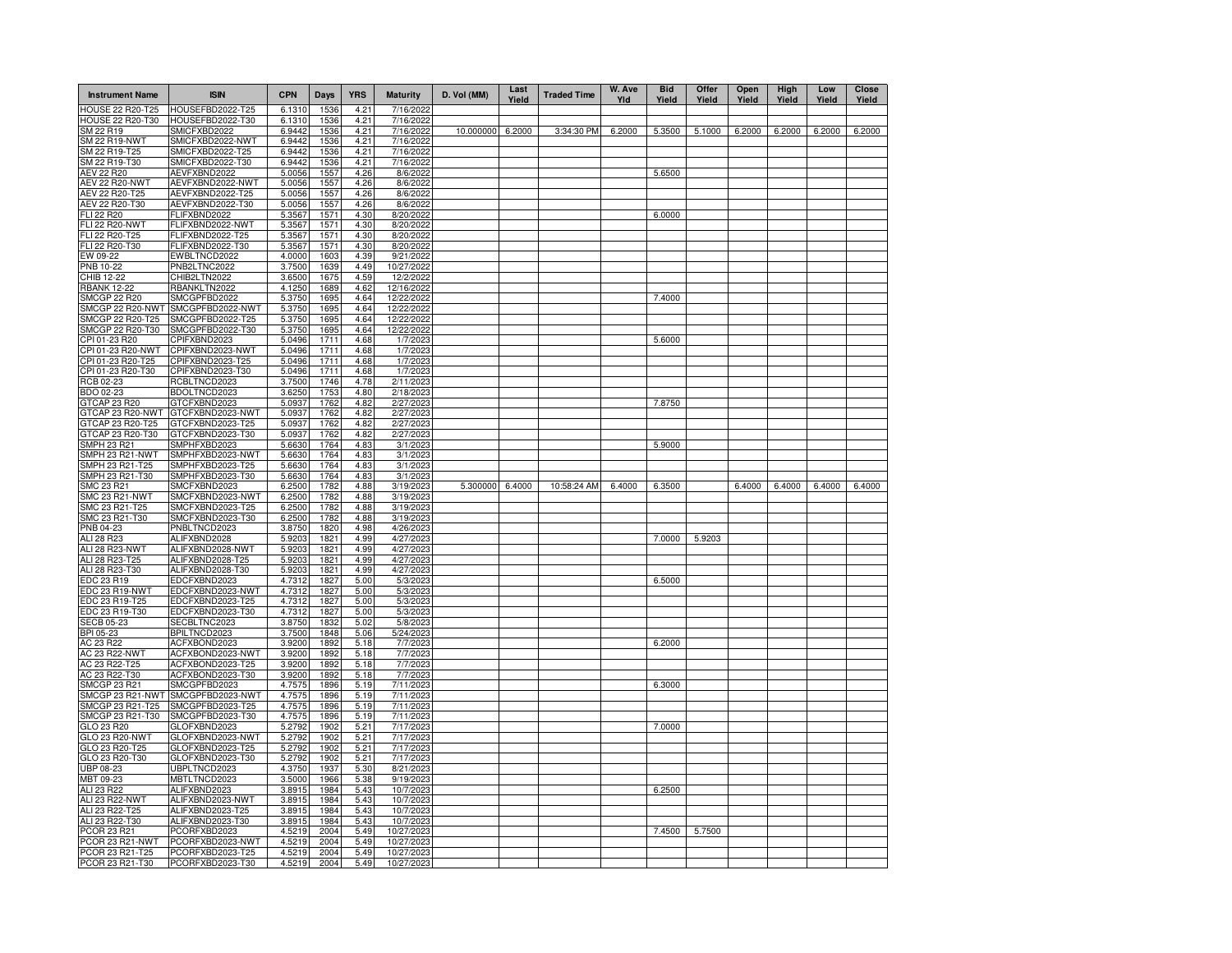| <b>Instrument Name</b>                 | <b>ISIN</b>                          | <b>CPN</b>       | Days         | <b>YRS</b>   | <b>Maturity</b>         | D. Vol (MM)      | Last<br>Yield | <b>Traded Time</b> | W. Ave<br>Yld | <b>Bid</b><br>Yield | Offer<br>Yield | Open<br>Yield | <b>High</b><br>Yield | Low<br>Yield | Close<br>Yield |
|----------------------------------------|--------------------------------------|------------------|--------------|--------------|-------------------------|------------------|---------------|--------------------|---------------|---------------------|----------------|---------------|----------------------|--------------|----------------|
| <b>HOUSE 22 R20-T25</b>                | HOUSEFBD2022-T25                     | 6.1310           | 1536         | 4.21         | 7/16/2022               |                  |               |                    |               |                     |                |               |                      |              |                |
| HOUSE 22 R20-T30<br>SM 22 R19          | HOUSEFBD2022-T30<br>SMICFXBD2022     | 6.1310<br>6.9442 | 1536<br>1536 | 4.21<br>4.21 | 7/16/2022<br>7/16/2022  | 10.000000 6.2000 |               | 3:34:30 PM         | 6.2000        | 5.3500              | 5.1000         | 6.2000        | 6.2000               | 6.2000       | 6.2000         |
| <b>SM 22 R19-NWT</b>                   | SMICFXBD2022-NWT                     | 6.9442           | 1536         | 4.21         | 7/16/2022               |                  |               |                    |               |                     |                |               |                      |              |                |
| SM 22 R19-T25                          | SMICFXBD2022-T25                     | 6.9442           | 1536         | 4.21         | 7/16/2022               |                  |               |                    |               |                     |                |               |                      |              |                |
| SM 22 R19-T30                          | SMICFXBD2022-T30                     | 6.9442           | 1536         | 4.21         | 7/16/2022               |                  |               |                    |               |                     |                |               |                      |              |                |
| AEV 22 R20                             | AEVFXBND2022                         | 5.0056           | 1557         | 4.26         | 8/6/2022                |                  |               |                    |               | 5.6500              |                |               |                      |              |                |
| <b>AEV 22 R20-NWT</b>                  | AEVFXBND2022-NWT<br>AEVFXBND2022-T25 | 5.0056           | 1557         | 4.26         | 8/6/2022                |                  |               |                    |               |                     |                |               |                      |              |                |
| AEV 22 R20-T25<br>AEV 22 R20-T30       | AEVFXBND2022-T30                     | 5.0056<br>5.0056 | 1557<br>1557 | 4.26<br>4.26 | 8/6/2022<br>8/6/2022    |                  |               |                    |               |                     |                |               |                      |              |                |
| FLI 22 R20                             | <b>ELIFXBND2022</b>                  | 5.3567           | 1571         | 4.30         | 8/20/2022               |                  |               |                    |               | 6.0000              |                |               |                      |              |                |
| <b>FLI 22 R20-NWT</b>                  | FLIFXBND2022-NWT                     | 5.3567           | 1571         | 4.30         | 8/20/2022               |                  |               |                    |               |                     |                |               |                      |              |                |
| FLI 22 R20-T25                         | -LIFXBND2022-T25                     | 5.3567           | 1571         | 4.30         | 8/20/2022               |                  |               |                    |               |                     |                |               |                      |              |                |
| FLI 22 R20-T30                         | FLIFXBND2022-T30                     | 5.3567           | 1571         | 4.30         | 8/20/2022               |                  |               |                    |               |                     |                |               |                      |              |                |
| EW 09-22                               | EWBLTNCD2022                         | 4.0000           | 1603         | 4.39         | 9/21/2022               |                  |               |                    |               |                     |                |               |                      |              |                |
| <b>PNB 10-22</b><br>CHIB 12-22         | PNB2LTNC2022<br>CHIB2LTN2022         | 3.7500<br>3.6500 | 1639<br>1675 | 4.49<br>4.59 | 10/27/2022<br>12/2/2022 |                  |               |                    |               |                     |                |               |                      |              |                |
| <b>RBANK 12-22</b>                     | RBANKLTN2022                         | 4.1250           | 1689         | 4.62         | 12/16/2022              |                  |               |                    |               |                     |                |               |                      |              |                |
| <b>SMCGP 22 R20</b>                    | SMCGPFBD2022                         | 5.3750           | 1695         | 4.64         | 12/22/2022              |                  |               |                    |               | 7.4000              |                |               |                      |              |                |
| SMCGP 22 R20-NWT                       | SMCGPFBD2022-NWT                     | 5.3750           | 1695         | 4.64         | 12/22/2022              |                  |               |                    |               |                     |                |               |                      |              |                |
| SMCGP 22 R20-T25                       | SMCGPFBD2022-T25                     | 5.3750           | 1695         | 4.64         | 12/22/2022              |                  |               |                    |               |                     |                |               |                      |              |                |
| SMCGP 22 R20-T30                       | SMCGPFBD2022-T30                     | 5.3750           | 1695         | 4.64         | 12/22/2022              |                  |               |                    |               |                     |                |               |                      |              |                |
| CPI 01-23 R20                          | CPIFXBND2023                         | 5.0496           | 1711         | 4.68         | 1/7/2023                |                  |               |                    |               | 5.6000              |                |               |                      |              |                |
| CPI 01-23 R20-NWT<br>CPI 01-23 R20-T25 | CPIFXBND2023-NWT<br>CPIFXBND2023-T25 | 5.0496<br>5.0496 | 1711<br>1711 | 4.68<br>4.68 | 1/7/2023<br>1/7/2023    |                  |               |                    |               |                     |                |               |                      |              |                |
| CPI 01-23 R20-T30                      | CPIFXBND2023-T30                     | 5.0496           | 1711         | 4.68         | 1/7/2023                |                  |               |                    |               |                     |                |               |                      |              |                |
| RCB 02-23                              | RCBLTNCD2023                         | 3.7500           | 1746         | 4.78         | 2/11/2023               |                  |               |                    |               |                     |                |               |                      |              |                |
| BDO 02-23                              | BDOLTNCD2023                         | 3.6250           | 1753         | 4.80         | 2/18/2023               |                  |               |                    |               |                     |                |               |                      |              |                |
| GTCAP 23 R20                           | GTCFXBND2023                         | 5.0937           | 1762         | 4.82         | 2/27/2023               |                  |               |                    |               | 7.8750              |                |               |                      |              |                |
| GTCAP 23 R20-NWT                       | GTCFXBND2023-NWT                     | 5.0937           | 1762         | 4.82         | 2/27/2023               |                  |               |                    |               |                     |                |               |                      |              |                |
| GTCAP 23 R20-T25<br>GTCAP 23 R20-T30   | GTCFXBND2023-T25<br>GTCFXBND2023-T30 | 5.0937<br>5.0937 | 1762<br>1762 | 4.82<br>4.82 | 2/27/2023<br>2/27/2023  |                  |               |                    |               |                     |                |               |                      |              |                |
| <b>SMPH 23 R21</b>                     | SMPHFXBD2023                         | 5.6630           | 1764         | 4.83         | 3/1/2023                |                  |               |                    |               | 5.9000              |                |               |                      |              |                |
| SMPH 23 R21-NWT                        | SMPHFXBD2023-NWT                     | 5.6630           | 1764         | 4.83         | 3/1/2023                |                  |               |                    |               |                     |                |               |                      |              |                |
| SMPH 23 R21-T25                        | SMPHFXBD2023-T25                     | 5.6630           | 1764         | 4.83         | 3/1/2023                |                  |               |                    |               |                     |                |               |                      |              |                |
| SMPH 23 R21-T30                        | SMPHFXBD2023-T30                     | 5.6630           | 1764         | 4.83         | 3/1/2023                |                  |               |                    |               |                     |                |               |                      |              |                |
| <b>SMC 23 R21</b>                      | SMCFXBND2023                         | 6.2500           | 1782         | 4.88         | 3/19/2023               | 5.300000 6.4000  |               | 10:58:24 AM        | 6.4000        | 6.3500              |                | 6.4000        | 6.4000               | 6.4000       | 6.4000         |
| <b>SMC 23 R21-NWT</b>                  | SMCFXBND2023-NWT                     | 6.2500           | 1782         | 4.88         | 3/19/2023               |                  |               |                    |               |                     |                |               |                      |              |                |
| SMC 23 R21-T25<br>SMC 23 R21-T30       | SMCFXBND2023-T25<br>SMCFXBND2023-T30 | 6.2500<br>6.2500 | 1782<br>1782 | 4.88<br>4.88 | 3/19/2023<br>3/19/2023  |                  |               |                    |               |                     |                |               |                      |              |                |
| PNB 04-23                              | PNBLTNCD2023                         | 3.8750           | 1820         | 4.98         | 4/26/2023               |                  |               |                    |               |                     |                |               |                      |              |                |
| ALI 28 R23                             | ALIFXBND2028                         | 5.9203           | 1821         | 4.99         | 4/27/2023               |                  |               |                    |               | 7.0000              | 5.9203         |               |                      |              |                |
| ALI 28 R23-NWT                         | ALIFXBND2028-NWT                     | 5.9203           | 1821         | 4.99         | 4/27/2023               |                  |               |                    |               |                     |                |               |                      |              |                |
| ALI 28 R23-T25                         | ALIFXBND2028-T25                     | 5.9203           | 1821         | 4.99         | 4/27/2023               |                  |               |                    |               |                     |                |               |                      |              |                |
| ALI 28 R23-T30                         | ALIFXBND2028-T30                     | 5.9203           | 1821         | 4.99         | 4/27/2023               |                  |               |                    |               |                     |                |               |                      |              |                |
| EDC 23 R19                             | EDCFXBND2023<br>EDCFXBND2023-NWT     | 4.7312<br>4.7312 | 1827<br>1827 | 5.00         | 5/3/2023<br>5/3/2023    |                  |               |                    |               | 6.5000              |                |               |                      |              |                |
| EDC 23 R19-NWT<br>EDC 23 R19-T25       | EDCFXBND2023-T25                     | 4.7312           | 1827         | 5.00<br>5.00 | 5/3/2023                |                  |               |                    |               |                     |                |               |                      |              |                |
| EDC 23 R19-T30                         | EDCFXBND2023-T30                     | 4.7312           | 1827         | 5.00         | 5/3/2023                |                  |               |                    |               |                     |                |               |                      |              |                |
| <b>SECB 05-23</b>                      | SECBLTNC2023                         | 3.8750           | 1832         | 5.02         | 5/8/2023                |                  |               |                    |               |                     |                |               |                      |              |                |
| <b>BPI 05-23</b>                       | BPILTNCD2023                         | 3.7500           | 1848         | 5.06         | 5/24/2023               |                  |               |                    |               |                     |                |               |                      |              |                |
| AC 23 R22                              | ACFXBOND2023                         | 3.9200           | 1892         | 5.18         | 7/7/2023                |                  |               |                    |               | 6.2000              |                |               |                      |              |                |
| <b>AC 23 R22-NWT</b><br>AC 23 R22-T25  | ACFXBOND2023-NWT<br>ACFXBOND2023-T25 | 3.9200<br>3.9200 | 1892<br>1892 | 5.18<br>5.18 | 7/7/2023<br>7/7/2023    |                  |               |                    |               |                     |                |               |                      |              |                |
| AC 23 R22-T30                          | ACFXBOND2023-T30                     | 3.9200           | 1892         | 5.18         | 7/7/2023                |                  |               |                    |               |                     |                |               |                      |              |                |
| <b>SMCGP 23 R21</b>                    | SMCGPFBD2023                         | 4.7575           | 1896         | 5.19         | 7/11/2023               |                  |               |                    |               | 6.3000              |                |               |                      |              |                |
| SMCGP 23 R21-NWT                       | SMCGPFBD2023-NWT                     | 4.7575           | 1896         | 5.19         | 7/11/2023               |                  |               |                    |               |                     |                |               |                      |              |                |
| SMCGP 23 R21-T25                       | SMCGPFBD2023-T25                     | 4.7575           | 1896         | 5.19         | 7/11/2023               |                  |               |                    |               |                     |                |               |                      |              |                |
| SMCGP 23 R21-T30                       | SMCGPFBD2023-T30                     | 4.7575           | 1896         | 5.19         | 7/11/2023               |                  |               |                    |               |                     |                |               |                      |              |                |
| GLO 23 R20                             | GLOFXBND2023                         | 5.2792<br>5.2792 | 1902         | 5.21         | 7/17/2023               |                  |               |                    |               | 7.0000              |                |               |                      |              |                |
| GLO 23 R20-NWT<br>GLO 23 R20-T25       | GLOFXBND2023-NWT<br>GLOFXBND2023-T25 | 5.2792           | 1902<br>1902 | 5.21<br>5.21 | 7/17/2023<br>7/17/2023  |                  |               |                    |               |                     |                |               |                      |              |                |
| GLO 23 R20-T30                         | GLOFXBND2023-T30                     | 5.2792           | 1902         | 5.21         | 7/17/2023               |                  |               |                    |               |                     |                |               |                      |              |                |
| UBP 08-23                              | UBPLTNCD2023                         | 4.3750           | 1937         | 5.30         | 8/21/2023               |                  |               |                    |               |                     |                |               |                      |              |                |
| MBT 09-23                              | MBTLTNCD2023                         | 3.5000           | 1966         | 5.38         | 9/19/2023               |                  |               |                    |               |                     |                |               |                      |              |                |
| ALI 23 R22                             | ALIFXBND2023                         | 3.8915           | 1984         | 5.43         | 10/7/2023               |                  |               |                    |               | 6.2500              |                |               |                      |              |                |
| ALI 23 R22-NW1                         | ALIFXBND2023-NWT                     | 3.8915           | 1984         | 5.43         | 10/7/2023               |                  |               |                    |               |                     |                |               |                      |              |                |
| ALI 23 R22-T25<br>ALI 23 R22-T30       | ALIFXBND2023-T25<br>ALIFXBND2023-T30 | 3.891<br>3.8915  | 1984<br>1984 | 5.43<br>5.43 | 10/7/2023<br>10/7/2023  |                  |               |                    |               |                     |                |               |                      |              |                |
| PCOR 23 R21                            | PCORFXBD2023                         | 4.5219           | 2004         | 5.49         | 10/27/2023              |                  |               |                    |               | 7.4500              | 5.7500         |               |                      |              |                |
| PCOR 23 R21-NWT                        | PCORFXBD2023-NWT                     | 4.5219           | 2004         | 5.49         | 10/27/2023              |                  |               |                    |               |                     |                |               |                      |              |                |
| PCOR 23 R21-T25                        | PCORFXBD2023-T25                     | 4.5219           | 2004         | 5.49         | 10/27/2023              |                  |               |                    |               |                     |                |               |                      |              |                |
| PCOR 23 R21-T30                        | PCORFXBD2023-T30                     | 4.5219           | 2004         | 5.49         | 10/27/2023              |                  |               |                    |               |                     |                |               |                      |              |                |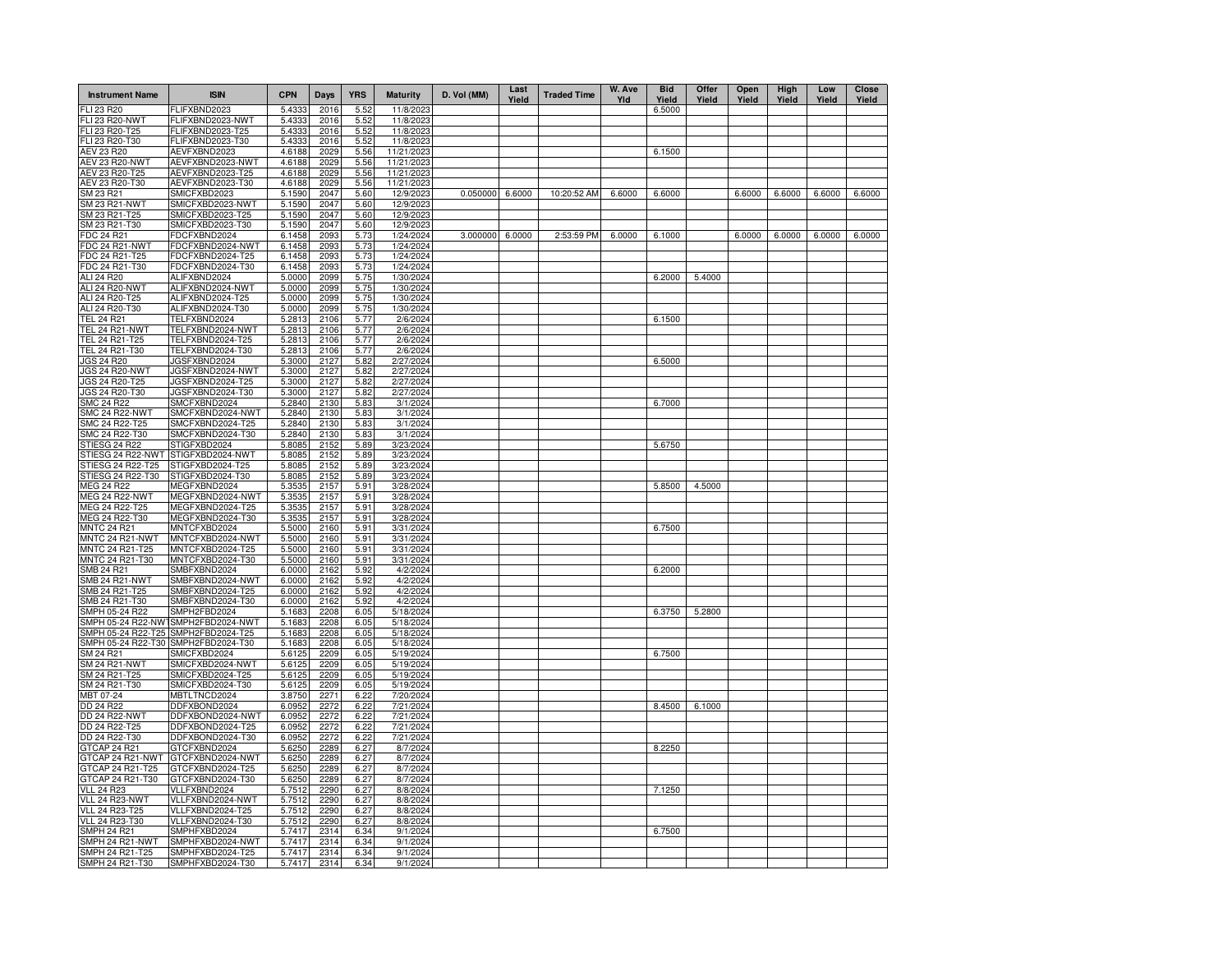| <b>Instrument Name</b>                   | <b>ISIN</b>                          | <b>CPN</b>       | Days         | <b>YRS</b>   | <b>Maturity</b>          | D. Vol (MM) | Last<br>Yield | <b>Traded Time</b> | W. Ave<br>Yld | <b>Bid</b><br>Yield | Offer<br>Yield | Open<br>Yield | High<br>Yield | Low<br>Yield | <b>Close</b><br>Yield |
|------------------------------------------|--------------------------------------|------------------|--------------|--------------|--------------------------|-------------|---------------|--------------------|---------------|---------------------|----------------|---------------|---------------|--------------|-----------------------|
| FLI 23 R20                               | FLIFXBND2023                         | 5.4333           | 2016         | 5.52         | 11/8/2023                |             |               |                    |               | 6.5000              |                |               |               |              |                       |
| <b>FLI 23 R20-NWT</b>                    | FLIFXBND2023-NWT                     | 5.4333           | 2016         | 5.52         | 11/8/2023                |             |               |                    |               |                     |                |               |               |              |                       |
| FLI 23 R20-T25                           | FLIFXBND2023-T25                     | 5.4333           | 2016         | 5.52         | 11/8/2023                |             |               |                    |               |                     |                |               |               |              |                       |
| FLI 23 R20-T30                           | FLIFXBND2023-T30                     | 5.4333           | 2016         | 5.52         | 11/8/2023                |             |               |                    |               |                     |                |               |               |              |                       |
| <b>AEV 23 R20</b>                        | AEVFXBND2023<br>AEVFXBND2023-NWT     | 4.6188           | 2029<br>2029 | 5.56         | 11/21/202                |             |               |                    |               | 6.1500              |                |               |               |              |                       |
| <b>AEV 23 R20-NWT</b><br>AEV 23 R20-T25  | AEVFXBND2023-T25                     | 4.6188<br>4.6188 | 2029         | 5.56<br>5.56 | 11/21/2023<br>11/21/2023 |             |               |                    |               |                     |                |               |               |              |                       |
| AEV 23 R20-T30                           | AEVFXBND2023-T30                     | 4.6188           | 2029         | 5.56         | 11/21/2023               |             |               |                    |               |                     |                |               |               |              |                       |
| SM 23 R21                                | SMICFXBD2023                         | 5.1590           | 2047         | 5.60         | 12/9/2023                | 0.050000    | 6.6000        | 10:20:52 AM        | 6.6000        | 6.6000              |                | 6.6000        | 6.6000        | 6.6000       | 6.6000                |
| SM 23 R21-NWT                            | SMICFXBD2023-NWT                     | 5.1590           | 2047         | 5.60         | 12/9/2023                |             |               |                    |               |                     |                |               |               |              |                       |
| SM 23 R21-T25                            | SMICFXBD2023-T25                     | 5.1590           | 2047         | 5.60         | 12/9/2023                |             |               |                    |               |                     |                |               |               |              |                       |
| SM 23 R21-T30                            | SMICFXBD2023-T30                     | 5.1590           | 2047         | 5.60         | 12/9/2023                |             |               |                    |               |                     |                |               |               |              |                       |
| FDC 24 R21                               | FDCFXBND2024                         | 6.1458           | 2093         | 5.73         | 1/24/2024                | 3.000000    | 6.0000        | 2:53:59 PM         | 6.0000        | 6.1000              |                | 6.0000        | 6.0000        | 6.0000       | 6.0000                |
| FDC 24 R21-NWT<br>FDC 24 R21-T25         | FDCFXBND2024-NWT<br>FDCFXBND2024-T25 | 6.1458           | 2093         | 5.73         | 1/24/2024                |             |               |                    |               |                     |                |               |               |              |                       |
| FDC 24 R21-T30                           | FDCFXBND2024-T30                     | 6.1458<br>6.1458 | 2093<br>2093 | 5.73<br>5.73 | 1/24/2024<br>1/24/2024   |             |               |                    |               |                     |                |               |               |              |                       |
| ALI 24 R20                               | ALIFXBND2024                         | 5.0000           | 2099         | 5.75         | 1/30/2024                |             |               |                    |               | 6.2000              | 5.4000         |               |               |              |                       |
| <b>ALI 24 R20-NWT</b>                    | ALIFXBND2024-NWT                     | 5.0000           | 2099         | 5.75         | 1/30/2024                |             |               |                    |               |                     |                |               |               |              |                       |
| ALI 24 R20-T25                           | ALIFXBND2024-T25                     | 5.0000           | 2099         | 5.75         | 1/30/2024                |             |               |                    |               |                     |                |               |               |              |                       |
| ALI 24 R20-T30                           | ALIFXBND2024-T30                     | 5.0000           | 2099         | 5.75         | 1/30/2024                |             |               |                    |               |                     |                |               |               |              |                       |
| <b>TEL 24 R21</b>                        | TELFXBND2024                         | 5.2813           | 2106         | 5.77         | 2/6/2024                 |             |               |                    |               | 6.1500              |                |               |               |              |                       |
| <b>TEL 24 R21-NWT</b>                    | TELFXBND2024-NWT                     | 5.2813           | 2106         | 5.77         | 2/6/2024                 |             |               |                    |               |                     |                |               |               |              |                       |
| TEL 24 R21-T25<br>TEL 24 R21-T30         | TELFXBND2024-T25<br>TELFXBND2024-T30 | 5.2813           | 2106<br>2106 | 5.77         | 2/6/2024                 |             |               |                    |               |                     |                |               |               |              |                       |
| <b>JGS 24 R20</b>                        | JGSFXBND2024                         | 5.2813<br>5.3000 | 2127         | 5.77<br>5.82 | 2/6/2024<br>2/27/2024    |             |               |                    |               | 6.5000              |                |               |               |              |                       |
| <b>JGS 24 R20-NWT</b>                    | JGSFXBND2024-NWT                     | 5.3000           | 2127         | 5.82         | 2/27/2024                |             |               |                    |               |                     |                |               |               |              |                       |
| JGS 24 R20-T25                           | JGSFXBND2024-T25                     | 5.3000           | 2127         | 5.82         | 2/27/2024                |             |               |                    |               |                     |                |               |               |              |                       |
| JGS 24 R20-T30                           | JGSFXBND2024-T30                     | 5.3000           | 2127         | 5.82         | 2/27/2024                |             |               |                    |               |                     |                |               |               |              |                       |
| <b>SMC 24 R22</b>                        | SMCFXBND2024                         | 5.2840           | 2130         | 5.83         | 3/1/2024                 |             |               |                    |               | 6.7000              |                |               |               |              |                       |
| <b>SMC 24 R22-NWT</b>                    | SMCFXBND2024-NWT                     | 5.2840           | 2130         | 5.83         | 3/1/2024                 |             |               |                    |               |                     |                |               |               |              |                       |
| SMC 24 R22-T25                           | SMCFXBND2024-T25                     | 5.2840           | 2130         | 5.83         | 3/1/2024                 |             |               |                    |               |                     |                |               |               |              |                       |
| SMC 24 R22-T30                           | SMCFXBND2024-T30                     | 5.2840           | 2130         | 5.83         | 3/1/2024                 |             |               |                    |               |                     |                |               |               |              |                       |
| STIESG 24 R22<br>STIESG 24 R22-NWT       | STIGFXBD2024<br>STIGFXBD2024-NWT     | 5.8085<br>5.8085 | 2152<br>2152 | 5.89<br>5.89 | 3/23/2024<br>3/23/2024   |             |               |                    |               | 5.6750              |                |               |               |              |                       |
| STIESG 24 R22-T25                        | STIGFXBD2024-T25                     | 5.8085           | 2152         | 5.89         | 3/23/2024                |             |               |                    |               |                     |                |               |               |              |                       |
| STIESG 24 R22-T30                        | STIGFXBD2024-T30                     | 5.8085           | 2152         | 5.89         | 3/23/2024                |             |               |                    |               |                     |                |               |               |              |                       |
| <b>MEG 24 R22</b>                        | MEGFXBND2024                         | 5.3535           | 2157         | 5.91         | 3/28/2024                |             |               |                    |               | 5.8500              | 4.5000         |               |               |              |                       |
| MEG 24 R22-NWT                           | MEGFXBND2024-NWT                     | 5.3535           | 2157         | 5.91         | 3/28/2024                |             |               |                    |               |                     |                |               |               |              |                       |
| MEG 24 R22-T25                           | MEGFXBND2024-T25                     | 5.3535           | 2157         | 5.91         | 3/28/2024                |             |               |                    |               |                     |                |               |               |              |                       |
| MEG 24 R22-T30                           | MEGFXBND2024-T30                     | 5.3535           | 2157         | 5.91         | 3/28/2024                |             |               |                    |               |                     |                |               |               |              |                       |
| <b>MNTC 24 R21</b>                       | MNTCFXBD2024                         | 5.5000           | 2160         | 5.91         | 3/31/2024                |             |               |                    |               | 6.7500              |                |               |               |              |                       |
| MNTC 24 R21-NWT<br>MNTC 24 R21-T25       | MNTCFXBD2024-NWT<br>MNTCFXBD2024-T25 | 5.5000<br>5.5000 | 2160<br>2160 | 5.91<br>5.91 | 3/31/2024<br>3/31/2024   |             |               |                    |               |                     |                |               |               |              |                       |
| MNTC 24 R21-T30                          | MNTCFXBD2024-T30                     | 5.5000           | 2160         | 5.91         | 3/31/2024                |             |               |                    |               |                     |                |               |               |              |                       |
| SMB 24 R21                               | SMBFXBND2024                         | 6.0000           | 2162         | 5.92         | 4/2/2024                 |             |               |                    |               | 6.2000              |                |               |               |              |                       |
| SMB 24 R21-NWT                           | SMBFXBND2024-NWT                     | 6.0000           | 2162         | 5.92         | 4/2/2024                 |             |               |                    |               |                     |                |               |               |              |                       |
| SMB 24 R21-T25                           | SMBFXBND2024-T25                     | 6.0000           | 2162         | 5.92         | 4/2/2024                 |             |               |                    |               |                     |                |               |               |              |                       |
| SMB 24 R21-T30                           | SMBFXBND2024-T30                     | 6.0000           | 2162         | 5.92         | 4/2/2024                 |             |               |                    |               |                     |                |               |               |              |                       |
| SMPH 05-24 R22                           | SMPH2FBD2024                         | 5.1683           | 2208         | 6.05         | 5/18/2024                |             |               |                    |               | 6.3750              | 5.2800         |               |               |              |                       |
|                                          | SMPH 05-24 R22-NW1SMPH2FBD2024-NWT   | 5.1683           | 2208         | 6.05         | 5/18/2024                |             |               |                    |               |                     |                |               |               |              |                       |
| SMPH 05-24 R22-T25<br>SMPH 05-24 R22-T30 | SMPH2FBD2024-T25<br>SMPH2FBD2024-T30 | 5.1683<br>5.1683 | 2208<br>2208 | 6.05<br>6.05 | 5/18/2024<br>5/18/2024   |             |               |                    |               |                     |                |               |               |              |                       |
| SM 24 R21                                | SMICFXBD2024                         | 5.6125           | 2209         | 6.05         | 5/19/2024                |             |               |                    |               | 6.7500              |                |               |               |              |                       |
| <b>SM 24 R21-NWT</b>                     | SMICFXBD2024-NWT                     | 5.6125           | 2209         | 6.05         | 5/19/2024                |             |               |                    |               |                     |                |               |               |              |                       |
| SM 24 R21-T25                            | SMICFXBD2024-T25                     | 5.6125           | 2209         | 6.05         | 5/19/2024                |             |               |                    |               |                     |                |               |               |              |                       |
| SM 24 R21-T30                            | SMICFXBD2024-T30                     | 5.6125           | 2209         | 6.05         | 5/19/2024                |             |               |                    |               |                     |                |               |               |              |                       |
| MBT 07-24                                | MBTLTNCD2024                         | 3.8750           | 2271         | 6.22         | 7/20/2024                |             |               |                    |               |                     |                |               |               |              |                       |
| DD 24 R22                                | DDFXBOND2024                         | 6.0952           | 2272         | 6.22         | 7/21/2024                |             |               |                    |               | 8.4500              | 6.1000         |               |               |              |                       |
| DD 24 R22-NWT<br>DD 24 R22-T25           | DDFXBOND2024-NWT<br>DDFXBOND2024-T25 | 6.0952           | 2272<br>2272 | 6.22<br>6.22 | 7/21/2024<br>7/21/2024   |             |               |                    |               |                     |                |               |               |              |                       |
| DD 24 R22-T30                            | DDFXBOND2024-T30                     | 6.0952<br>6.0952 | 2272         | 6.22         | 7/21/2024                |             |               |                    |               |                     |                |               |               |              |                       |
| GTCAP 24 R21                             | GTCFXBND2024                         | 5.6250           | 2289         | 6.27         | 8/7/2024                 |             |               |                    |               | 8.2250              |                |               |               |              |                       |
| GTCAP 24 R21-NWT                         | GTCFXBND2024-NWT                     | 5.6250           | 2289         | 6.27         | 8/7/2024                 |             |               |                    |               |                     |                |               |               |              |                       |
| GTCAP 24 R21-T25                         | GTCFXBND2024-T25                     | 5.6250           | 2289         | 6.27         | 8/7/2024                 |             |               |                    |               |                     |                |               |               |              |                       |
| GTCAP 24 R21-T30                         | GTCFXBND2024-T30                     | 5.6250           | 2289         | 6.27         | 8/7/2024                 |             |               |                    |               |                     |                |               |               |              |                       |
| <b>VLL 24 R23</b>                        | VLLFXBND2024                         | 5.7512           | 2290         | 6.27         | 8/8/2024                 |             |               |                    |               | 7.1250              |                |               |               |              |                       |
| VLL 24 R23-NWT                           | VLLFXBND2024-NWT                     | 5.7512           | 2290         | 6.27         | 8/8/2024                 |             |               |                    |               |                     |                |               |               |              |                       |
| VLL 24 R23-T25<br>VLL 24 R23-T30         | VLLFXBND2024-T25<br>VLLFXBND2024-T30 | 5.7512<br>5.7512 | 2290<br>2290 | 6.27<br>6.27 | 8/8/2024<br>8/8/2024     |             |               |                    |               |                     |                |               |               |              |                       |
| <b>SMPH 24 R21</b>                       | SMPHFXBD2024                         | 5.7417           | 2314         | 6.34         | 9/1/2024                 |             |               |                    |               | 6.7500              |                |               |               |              |                       |
| SMPH 24 R21-NWT                          | SMPHFXBD2024-NWT                     | 5.7417           | 2314         | 6.34         | 9/1/2024                 |             |               |                    |               |                     |                |               |               |              |                       |
| SMPH 24 R21-T25                          | SMPHFXBD2024-T25                     | 5.7417           | 2314         | 6.34         | 9/1/2024                 |             |               |                    |               |                     |                |               |               |              |                       |
| SMPH 24 R21-T30                          | SMPHFXBD2024-T30                     | 5.7417           | 2314         | 6.34         | 9/1/2024                 |             |               |                    |               |                     |                |               |               |              |                       |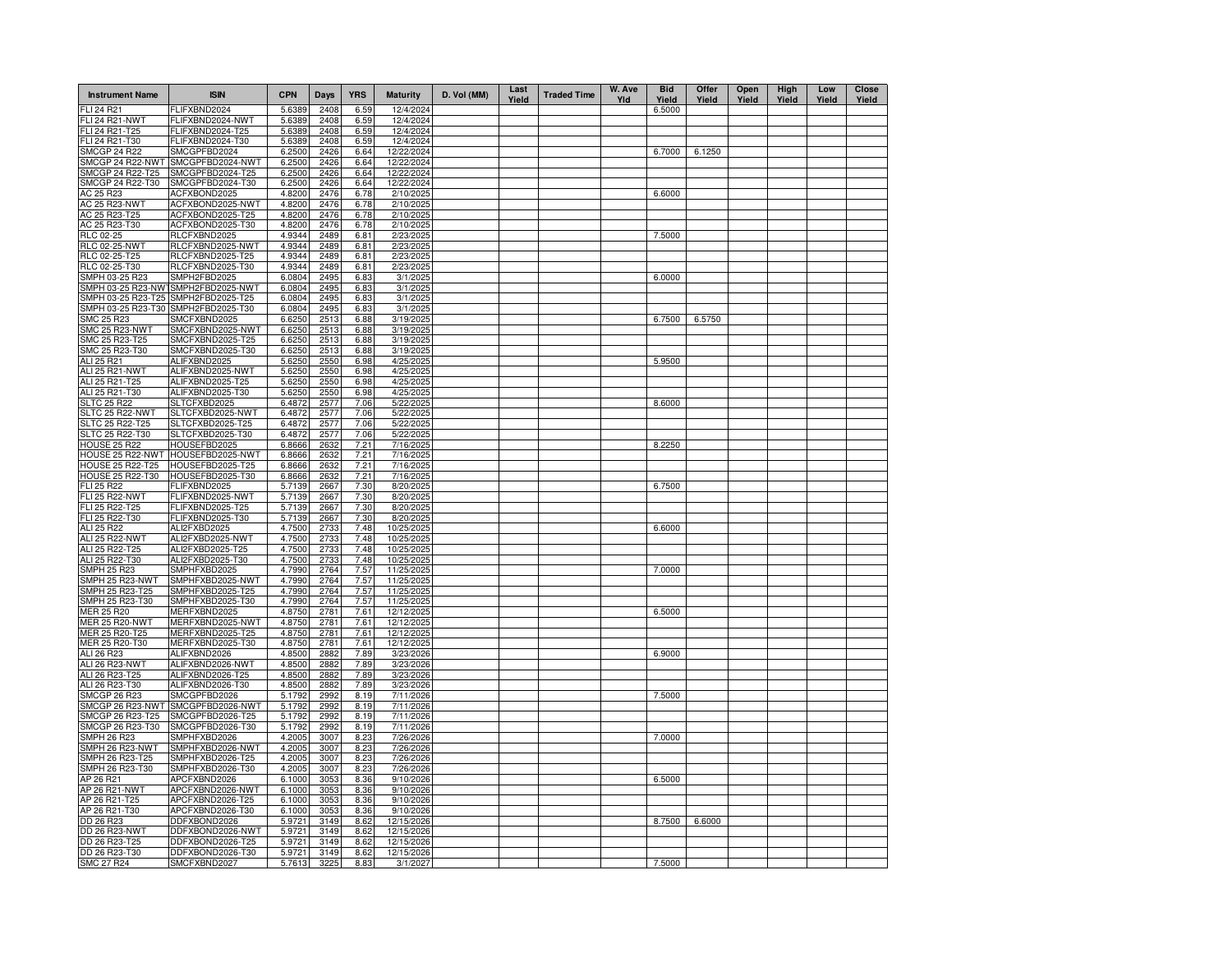| <b>Instrument Name</b>                | <b>ISIN</b>                          | <b>CPN</b>       | Days         | <b>YRS</b>   | <b>Maturity</b>          | D. Vol (MM) | Last<br>Yield | <b>Traded Time</b> | W. Ave<br>Yld | <b>Bid</b><br>Yield | Offer<br>Yield | Open<br>Yield | High<br>Yield | Low<br>Yield | <b>Close</b><br>Yield |
|---------------------------------------|--------------------------------------|------------------|--------------|--------------|--------------------------|-------------|---------------|--------------------|---------------|---------------------|----------------|---------------|---------------|--------------|-----------------------|
| <b>FLI 24 R21</b>                     | FLIFXBND2024                         | 5.6389           | 2408         | 6.59         | 12/4/2024                |             |               |                    |               | 6.5000              |                |               |               |              |                       |
| <b>FLI 24 R21-NWT</b>                 | FLIFXBND2024-NWT                     | 5.6389           | 2408         | 6.59         | 12/4/2024                |             |               |                    |               |                     |                |               |               |              |                       |
| FLI 24 R21-T25                        | FLIFXBND2024-T25                     | 5.6389           | 2408         | 6.59         | 12/4/2024                |             |               |                    |               |                     |                |               |               |              |                       |
| FLI 24 R21-T30                        | FLIFXBND2024-T30                     | 5.6389           | 2408         | 6.59         | 12/4/2024                |             |               |                    |               |                     |                |               |               |              |                       |
| <b>SMCGP 24 R22</b>                   | SMCGPFBD2024                         | 6.2500           | 2426         | 6.64         | 12/22/2024               |             |               |                    |               | 6.7000              | 6.1250         |               |               |              |                       |
| SMCGP 24 R22-NWT                      | SMCGPFBD2024-NWT                     | 6.2500           | 2426         | 6.64         | 12/22/2024               |             |               |                    |               |                     |                |               |               |              |                       |
| SMCGP 24 R22-T25<br>SMCGP 24 R22-T30  | SMCGPFBD2024-T25<br>SMCGPFBD2024-T30 | 6.2500           | 2426<br>2426 | 6.64<br>6.64 | 12/22/2024<br>12/22/2024 |             |               |                    |               |                     |                |               |               |              |                       |
| AC 25 R23                             | ACFXBOND2025                         | 6.2500<br>4.8200 | 2476         | 6.78         | 2/10/2025                |             |               |                    |               | 6.6000              |                |               |               |              |                       |
| AC 25 R23-NWT                         | ACFXBOND2025-NWT                     | 4.8200           | 2476         | 6.78         | 2/10/2025                |             |               |                    |               |                     |                |               |               |              |                       |
| AC 25 R23-T25                         | ACFXBOND2025-T25                     | 4.8200           | 2476         | 6.78         | 2/10/2025                |             |               |                    |               |                     |                |               |               |              |                       |
| AC 25 R23-T30                         | ACFXBOND2025-T30                     | 4.8200           | 2476         | 6.78         | 2/10/2025                |             |               |                    |               |                     |                |               |               |              |                       |
| RLC 02-25                             | RLCFXBND2025                         | 4.9344           | 2489         | 6.81         | 2/23/2025                |             |               |                    |               | 7.5000              |                |               |               |              |                       |
| <b>RLC 02-25-NWT</b>                  | RLCFXBND2025-NWT                     | 4.9344           | 2489         | 6.81         | 2/23/2025                |             |               |                    |               |                     |                |               |               |              |                       |
| RLC 02-25-T25                         | RLCFXBND2025-T25                     | 4.9344           | 2489         | 6.81         | 2/23/2025                |             |               |                    |               |                     |                |               |               |              |                       |
| RLC 02-25-T30                         | RLCFXBND2025-T30                     | 4.9344           | 2489         | 6.81         | 2/23/2025                |             |               |                    |               |                     |                |               |               |              |                       |
| SMPH 03-25 R23                        | SMPH2FBD2025                         | 6.0804           | 2495         | 6.83         | 3/1/2025                 |             |               |                    |               | 6.0000              |                |               |               |              |                       |
| SMPH 03-25 R23-NWT                    | SMPH2FBD2025-NWT                     | 6.0804           | 2495         | 6.83         | 3/1/2025                 |             |               |                    |               |                     |                |               |               |              |                       |
| SMPH 03-25 R23-T25                    | SMPH2FBD2025-T25                     | 6.0804           | 2495         | 6.83         | 3/1/2025                 |             |               |                    |               |                     |                |               |               |              |                       |
| SMPH 03-25 R23-T30 SMPH2FBD2025-T30   |                                      | 6.0804           | 2495         | 6.83         | 3/1/2025                 |             |               |                    |               |                     |                |               |               |              |                       |
| SMC 25 R23<br>SMC 25 R23-NWT          | SMCFXBND2025<br>SMCFXBND2025-NWT     | 6.6250<br>6.6250 | 2513<br>2513 | 6.88         | 3/19/2025<br>3/19/2025   |             |               |                    |               | 6.7500              | 6.5750         |               |               |              |                       |
| SMC 25 R23-T25                        | SMCFXBND2025-T25                     | 6.6250           | 2513         | 6.88<br>6.88 | 3/19/2025                |             |               |                    |               |                     |                |               |               |              |                       |
| SMC 25 R23-T30                        | SMCFXBND2025-T30                     | 6.6250           | 2513         | 6.88         | 3/19/2025                |             |               |                    |               |                     |                |               |               |              |                       |
| ALI 25 R21                            | ALIFXBND2025                         | 5.6250           | 2550         | 6.98         | 4/25/2025                |             |               |                    |               | 5.9500              |                |               |               |              |                       |
| ALI 25 R21-NWT                        | ALIFXBND2025-NWT                     | 5.6250           | 2550         | 6.98         | 4/25/2025                |             |               |                    |               |                     |                |               |               |              |                       |
| ALI 25 R21-T25                        | ALIFXBND2025-T25                     | 5.6250           | 2550         | 6.98         | 4/25/2025                |             |               |                    |               |                     |                |               |               |              |                       |
| ALI 25 R21-T30                        | ALIFXBND2025-T30                     | 5.6250           | 2550         | 6.98         | 4/25/2025                |             |               |                    |               |                     |                |               |               |              |                       |
| <b>SLTC 25 R22</b>                    | SLTCFXBD2025                         | 6.4872           | 2577         | 7.06         | 5/22/2025                |             |               |                    |               | 8.6000              |                |               |               |              |                       |
| SLTC 25 R22-NWT                       | SLTCFXBD2025-NWT                     | 6.4872           | 2577         | 7.06         | 5/22/2025                |             |               |                    |               |                     |                |               |               |              |                       |
| SLTC 25 R22-T25                       | SLTCFXBD2025-T25                     | 6.4872           | 2577         | 7.06         | 5/22/2025                |             |               |                    |               |                     |                |               |               |              |                       |
| SLTC 25 R22-T30                       | SLTCFXBD2025-T30                     | 6.4872           | 2577         | 7.06         | 5/22/2025                |             |               |                    |               |                     |                |               |               |              |                       |
| <b>HOUSE 25 R22</b>                   | HOUSEFBD2025                         | 6.8666           | 2632         | 7.21         | 7/16/2025                |             |               |                    |               | 8.2250              |                |               |               |              |                       |
|                                       | HOUSE 25 R22-NWT HOUSEFBD2025-NWT    | 6.8666           | 2632         | 7.21         | 7/16/2025                |             |               |                    |               |                     |                |               |               |              |                       |
| <b>HOUSE 25 R22-T25</b>               | HOUSEFBD2025-T25                     | 6.8666           | 2632         | 7.21         | 7/16/2025                |             |               |                    |               |                     |                |               |               |              |                       |
| <b>HOUSE 25 R22-T30</b><br>FLI 25 R22 | HOUSEFBD2025-T30<br>FLIFXBND2025     | 6.8666<br>5.7139 | 2632<br>2667 | 7.21<br>7.30 | 7/16/2025<br>8/20/2025   |             |               |                    |               | 6.7500              |                |               |               |              |                       |
| <b>FLI 25 R22-NWT</b>                 | FLIFXBND2025-NWT                     | 5.7139           | 2667         | 7.30         | 8/20/2025                |             |               |                    |               |                     |                |               |               |              |                       |
| FLI 25 R22-T25                        | FLIFXBND2025-T25                     | 5.7139           | 2667         | 7.30         | 8/20/2025                |             |               |                    |               |                     |                |               |               |              |                       |
| FLI 25 R22-T30                        | FLIFXBND2025-T30                     | 5.7139           | 2667         | 7.30         | 8/20/2025                |             |               |                    |               |                     |                |               |               |              |                       |
| ALI 25 R22                            | ALI2FXBD2025                         | 4.7500           | 2733         | 7.48         | 10/25/2025               |             |               |                    |               | 6.6000              |                |               |               |              |                       |
| ALI 25 R22-NWT                        | ALI2FXBD2025-NWT                     | 4.7500           | 2733         | 7.48         | 10/25/2025               |             |               |                    |               |                     |                |               |               |              |                       |
| ALI 25 R22-T25                        | ALI2FXBD2025-T25                     | 4.7500           | 2733         | 7.48         | 10/25/2025               |             |               |                    |               |                     |                |               |               |              |                       |
| ALI 25 R22-T30                        | ALI2FXBD2025-T30                     | 4.7500           | 2733         | 7.48         | 10/25/2025               |             |               |                    |               |                     |                |               |               |              |                       |
| <b>SMPH 25 R23</b>                    | SMPHFXBD2025                         | 4.7990           | 2764         | 7.57         | 11/25/2025               |             |               |                    |               | 7.0000              |                |               |               |              |                       |
| SMPH 25 R23-NWT                       | SMPHFXBD2025-NWT                     | 4.7990           | 2764         | 7.57         | 11/25/2025               |             |               |                    |               |                     |                |               |               |              |                       |
| SMPH 25 R23-T25                       | SMPHFXBD2025-T25                     | 4.7990           | 2764         | 7.57         | 11/25/2025               |             |               |                    |               |                     |                |               |               |              |                       |
| SMPH 25 R23-T30<br>MER 25 R20         | SMPHFXBD2025-T30<br>MERFXBND2025     | 4.7990<br>4.8750 | 2764<br>2781 | 7.57<br>7.61 | 11/25/2025<br>12/12/2025 |             |               |                    |               | 6.5000              |                |               |               |              |                       |
| <b>MER 25 R20-NWT</b>                 | MERFXBND2025-NWT                     | 4.8750           | 2781         | 7.61         | 12/12/2025               |             |               |                    |               |                     |                |               |               |              |                       |
| MER 25 R20-T25                        | MERFXBND2025-T25                     | 4.8750           | 2781         | 7.61         | 12/12/2025               |             |               |                    |               |                     |                |               |               |              |                       |
| MER 25 R20-T30                        | MERFXBND2025-T30                     | 4.8750           | 2781         | 7.61         | 12/12/2025               |             |               |                    |               |                     |                |               |               |              |                       |
| ALI 26 R23                            | ALIFXBND2026                         | 4.8500           | 2882         | 7.89         | 3/23/2026                |             |               |                    |               | 6.9000              |                |               |               |              |                       |
| ALI 26 R23-NWT                        | ALIFXBND2026-NWT                     | 4.8500           | 2882         | 7.89         | 3/23/2026                |             |               |                    |               |                     |                |               |               |              |                       |
| ALI 26 R23-T25                        | ALIFXBND2026-T25                     | 4.8500           | 2882         | 7.89         | 3/23/2026                |             |               |                    |               |                     |                |               |               |              |                       |
| ALI 26 R23-T30                        | ALIFXBND2026-T30                     | 4.8500           | 2882         | 7.89         | 3/23/2026                |             |               |                    |               |                     |                |               |               |              |                       |
| SMCGP 26 R23                          | SMCGPFBD2026                         | 5.1792           | 2992         | 8.19         | 7/11/2026                |             |               |                    |               | 7.5000              |                |               |               |              |                       |
| SMCGP 26 R23-NWT                      | SMCGPFBD2026-NWT                     | 5.1792           | 2992         | 8.19         | 7/11/2026                |             |               |                    |               |                     |                |               |               |              |                       |
| SMCGP 26 R23-T25<br>SMCGP 26 R23-T30  | SMCGPFBD2026-T25<br>SMCGPFBD2026-T30 | 5.1792<br>5.1792 | 299<br>2992  | 8.19<br>8.19 | 7/11/2026                |             |               |                    |               |                     |                |               |               |              |                       |
| <b>SMPH 26 R23</b>                    | SMPHFXBD2026                         | 4.2005           | 3007         | 8.23         | 7/11/2026<br>7/26/2026   |             |               |                    |               | 7.0000              |                |               |               |              |                       |
| SMPH 26 R23-NWT                       | SMPHFXBD2026-NWT                     | 4.2005           | 3007         | 8.23         | 7/26/2026                |             |               |                    |               |                     |                |               |               |              |                       |
| SMPH 26 R23-T25                       | SMPHFXBD2026-T25                     | 4.2005           | 3007         | 8.23         | 7/26/2026                |             |               |                    |               |                     |                |               |               |              |                       |
| SMPH 26 R23-T30                       | SMPHFXBD2026-T30                     | 4.2005           | 3007         | 8.23         | 7/26/2026                |             |               |                    |               |                     |                |               |               |              |                       |
| AP 26 R21                             | APCFXBND2026                         | 6.1000           | 3053         | 8.36         | 9/10/2026                |             |               |                    |               | 6.5000              |                |               |               |              |                       |
| AP 26 R21-NWT                         | APCFXBND2026-NWT                     | 6.1000           | 305          | 8.36         | 9/10/2026                |             |               |                    |               |                     |                |               |               |              |                       |
| AP 26 R21-T25                         | APCFXBND2026-T25                     | 6.1000           | 3053         | 8.36         | 9/10/2026                |             |               |                    |               |                     |                |               |               |              |                       |
| AP 26 R21-T30                         | APCFXBND2026-T30                     | 6.1000           | 3053         | 8.36         | 9/10/2026                |             |               |                    |               |                     |                |               |               |              |                       |
| DD 26 R23                             | DDFXBOND2026                         | 5.9721           | 3149         | 8.62         | 12/15/2026               |             |               |                    |               | 8.7500              | 6.6000         |               |               |              |                       |
| DD 26 R23-NWT                         | DDFXBOND2026-NWT                     | 5.9721           | 3149         | 8.62         | 12/15/2026               |             |               |                    |               |                     |                |               |               |              |                       |
| DD 26 R23-T25                         | DDFXBOND2026-T25                     | 5.9721           | 3149         | 8.62         | 12/15/2026               |             |               |                    |               |                     |                |               |               |              |                       |
| DD 26 R23-T30                         | DDFXBOND2026-T30                     | 5.9721           | 3149         | 8.62         | 12/15/2026               |             |               |                    |               |                     |                |               |               |              |                       |
| <b>SMC 27 R24</b>                     | SMCFXBND2027                         | 5.7613           | 3225         | 8.83         | 3/1/2027                 |             |               |                    |               | 7.5000              |                |               |               |              |                       |